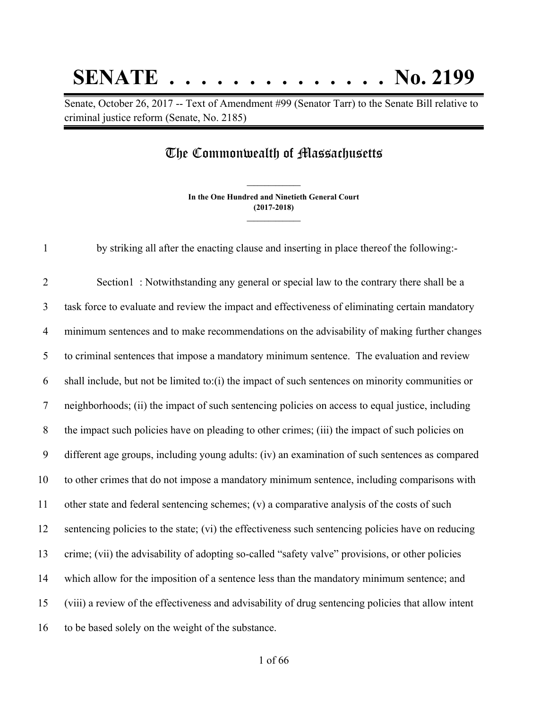## **SENATE . . . . . . . . . . . . . . No. 2199**

Senate, October 26, 2017 -- Text of Amendment #99 (Senator Tarr) to the Senate Bill relative to criminal justice reform (Senate, No. 2185)

## The Commonwealth of Massachusetts

**In the One Hundred and Ninetieth General Court (2017-2018) \_\_\_\_\_\_\_\_\_\_\_\_\_\_\_**

**\_\_\_\_\_\_\_\_\_\_\_\_\_\_\_**

by striking all after the enacting clause and inserting in place thereof the following:-

 Section1 : Notwithstanding any general or special law to the contrary there shall be a task force to evaluate and review the impact and effectiveness of eliminating certain mandatory minimum sentences and to make recommendations on the advisability of making further changes to criminal sentences that impose a mandatory minimum sentence. The evaluation and review shall include, but not be limited to:(i) the impact of such sentences on minority communities or neighborhoods; (ii) the impact of such sentencing policies on access to equal justice, including the impact such policies have on pleading to other crimes; (iii) the impact of such policies on different age groups, including young adults: (iv) an examination of such sentences as compared to other crimes that do not impose a mandatory minimum sentence, including comparisons with other state and federal sentencing schemes; (v) a comparative analysis of the costs of such sentencing policies to the state; (vi) the effectiveness such sentencing policies have on reducing crime; (vii) the advisability of adopting so-called "safety valve" provisions, or other policies which allow for the imposition of a sentence less than the mandatory minimum sentence; and (viii) a review of the effectiveness and advisability of drug sentencing policies that allow intent to be based solely on the weight of the substance.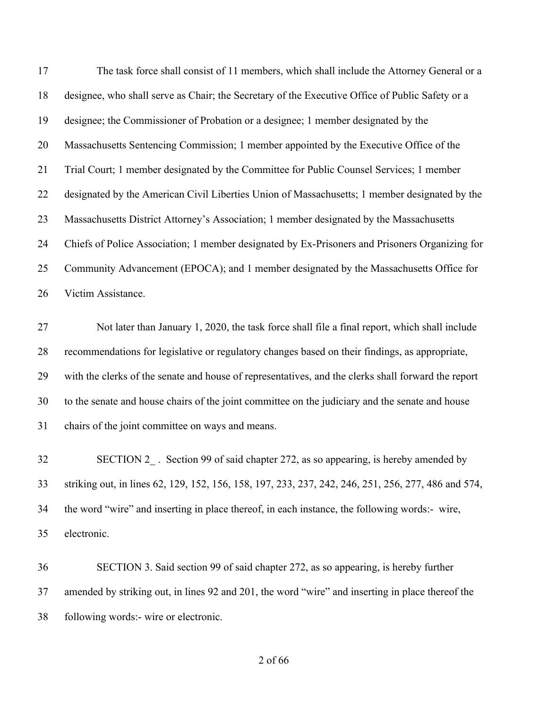| 17 | The task force shall consist of 11 members, which shall include the Attorney General or a           |
|----|-----------------------------------------------------------------------------------------------------|
| 18 | designee, who shall serve as Chair; the Secretary of the Executive Office of Public Safety or a     |
| 19 | designee; the Commissioner of Probation or a designee; 1 member designated by the                   |
| 20 | Massachusetts Sentencing Commission; 1 member appointed by the Executive Office of the              |
| 21 | Trial Court; 1 member designated by the Committee for Public Counsel Services; 1 member             |
| 22 | designated by the American Civil Liberties Union of Massachusetts; 1 member designated by the       |
| 23 | Massachusetts District Attorney's Association; 1 member designated by the Massachusetts             |
| 24 | Chiefs of Police Association; 1 member designated by Ex-Prisoners and Prisoners Organizing for      |
| 25 | Community Advancement (EPOCA); and 1 member designated by the Massachusetts Office for              |
| 26 | Victim Assistance.                                                                                  |
| 27 | Not later than January 1, 2020, the task force shall file a final report, which shall include       |
| 28 | recommendations for legislative or regulatory changes based on their findings, as appropriate,      |
| 29 | with the clerks of the senate and house of representatives, and the clerks shall forward the report |
| 30 | to the senate and house chairs of the joint committee on the judiciary and the senate and house     |
| 31 | chairs of the joint committee on ways and means.                                                    |
| 32 | SECTION 2 . Section 99 of said chapter 272, as so appearing, is hereby amended by                   |
| 33 | striking out, in lines 62, 129, 152, 156, 158, 197, 233, 237, 242, 246, 251, 256, 277, 486 and 574, |
| 34 | the word "wire" and inserting in place thereof, in each instance, the following words:- wire,       |
| 35 | electronic.                                                                                         |
| 36 | SECTION 3. Said section 99 of said chapter 272, as so appearing, is hereby further                  |

amended by striking out, in lines 92 and 201, the word "wire" and inserting in place thereof the

following words:- wire or electronic.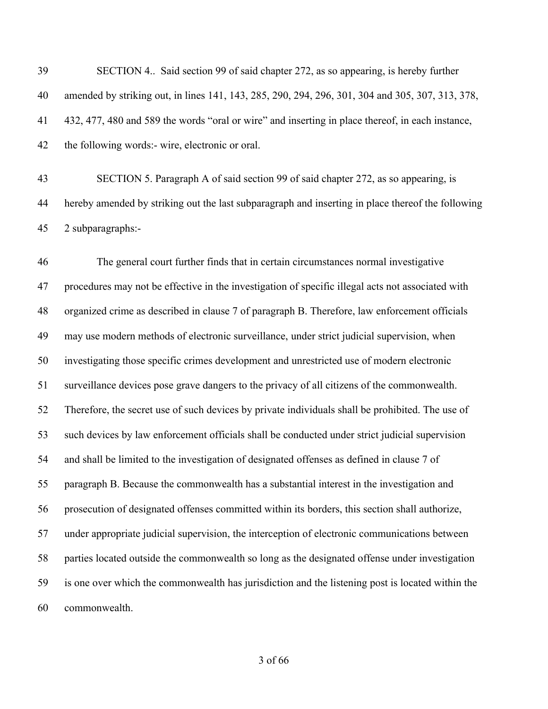SECTION 4.. Said section 99 of said chapter 272, as so appearing, is hereby further amended by striking out, in lines 141, 143, 285, 290, 294, 296, 301, 304 and 305, 307, 313, 378, 432, 477, 480 and 589 the words "oral or wire" and inserting in place thereof, in each instance, the following words:- wire, electronic or oral. SECTION 5. Paragraph A of said section 99 of said chapter 272, as so appearing, is

 hereby amended by striking out the last subparagraph and inserting in place thereof the following 2 subparagraphs:-

 The general court further finds that in certain circumstances normal investigative procedures may not be effective in the investigation of specific illegal acts not associated with organized crime as described in clause 7 of paragraph B. Therefore, law enforcement officials may use modern methods of electronic surveillance, under strict judicial supervision, when investigating those specific crimes development and unrestricted use of modern electronic surveillance devices pose grave dangers to the privacy of all citizens of the commonwealth. Therefore, the secret use of such devices by private individuals shall be prohibited. The use of such devices by law enforcement officials shall be conducted under strict judicial supervision and shall be limited to the investigation of designated offenses as defined in clause 7 of paragraph B. Because the commonwealth has a substantial interest in the investigation and prosecution of designated offenses committed within its borders, this section shall authorize, under appropriate judicial supervision, the interception of electronic communications between parties located outside the commonwealth so long as the designated offense under investigation is one over which the commonwealth has jurisdiction and the listening post is located within the commonwealth.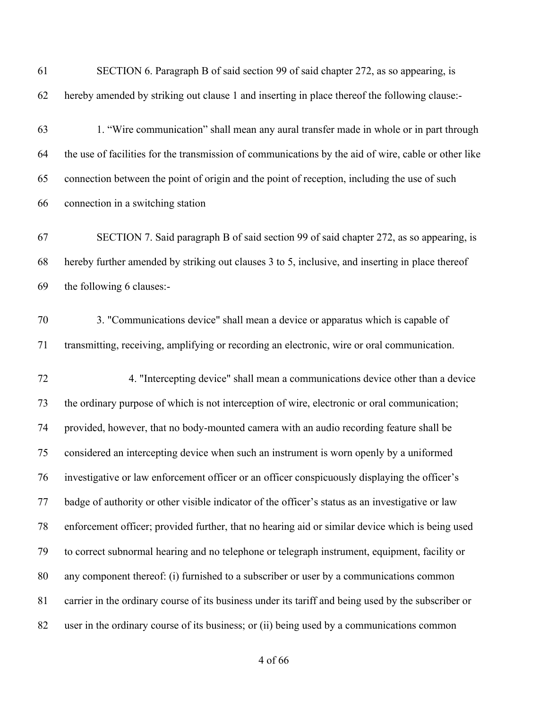| 61 | SECTION 6. Paragraph B of said section 99 of said chapter 272, as so appearing, is                   |
|----|------------------------------------------------------------------------------------------------------|
| 62 | hereby amended by striking out clause 1 and inserting in place thereof the following clause:-        |
| 63 | 1. "Wire communication" shall mean any aural transfer made in whole or in part through               |
| 64 | the use of facilities for the transmission of communications by the aid of wire, cable or other like |
| 65 | connection between the point of origin and the point of reception, including the use of such         |
| 66 | connection in a switching station                                                                    |
| 67 | SECTION 7. Said paragraph B of said section 99 of said chapter 272, as so appearing, is              |
| 68 | hereby further amended by striking out clauses 3 to 5, inclusive, and inserting in place thereof     |
| 69 | the following 6 clauses:-                                                                            |
| 70 | 3. "Communications device" shall mean a device or apparatus which is capable of                      |
| 71 | transmitting, receiving, amplifying or recording an electronic, wire or oral communication.          |
| 72 | 4. "Intercepting device" shall mean a communications device other than a device                      |
| 73 | the ordinary purpose of which is not interception of wire, electronic or oral communication;         |
| 74 | provided, however, that no body-mounted camera with an audio recording feature shall be              |
| 75 | considered an intercepting device when such an instrument is worn openly by a uniformed              |
| 76 | investigative or law enforcement officer or an officer conspicuously displaying the officer's        |
| 77 | badge of authority or other visible indicator of the officer's status as an investigative or law     |
| 78 | enforcement officer; provided further, that no hearing aid or similar device which is being used     |
| 79 | to correct subnormal hearing and no telephone or telegraph instrument, equipment, facility or        |
| 80 | any component thereof: (i) furnished to a subscriber or user by a communications common              |
| 81 | carrier in the ordinary course of its business under its tariff and being used by the subscriber or  |
| 82 | user in the ordinary course of its business; or (ii) being used by a communications common           |
|    |                                                                                                      |

of 66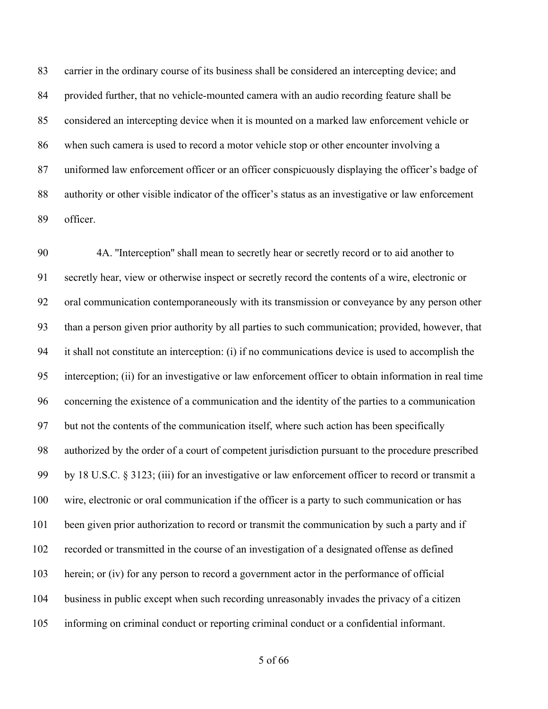carrier in the ordinary course of its business shall be considered an intercepting device; and provided further, that no vehicle-mounted camera with an audio recording feature shall be considered an intercepting device when it is mounted on a marked law enforcement vehicle or when such camera is used to record a motor vehicle stop or other encounter involving a uniformed law enforcement officer or an officer conspicuously displaying the officer's badge of authority or other visible indicator of the officer's status as an investigative or law enforcement officer.

 4A. ''Interception'' shall mean to secretly hear or secretly record or to aid another to secretly hear, view or otherwise inspect or secretly record the contents of a wire, electronic or oral communication contemporaneously with its transmission or conveyance by any person other than a person given prior authority by all parties to such communication; provided, however, that it shall not constitute an interception: (i) if no communications device is used to accomplish the interception; (ii) for an investigative or law enforcement officer to obtain information in real time concerning the existence of a communication and the identity of the parties to a communication but not the contents of the communication itself, where such action has been specifically authorized by the order of a court of competent jurisdiction pursuant to the procedure prescribed by 18 U.S.C. § 3123; (iii) for an investigative or law enforcement officer to record or transmit a wire, electronic or oral communication if the officer is a party to such communication or has been given prior authorization to record or transmit the communication by such a party and if recorded or transmitted in the course of an investigation of a designated offense as defined 103 herein; or (iv) for any person to record a government actor in the performance of official business in public except when such recording unreasonably invades the privacy of a citizen informing on criminal conduct or reporting criminal conduct or a confidential informant.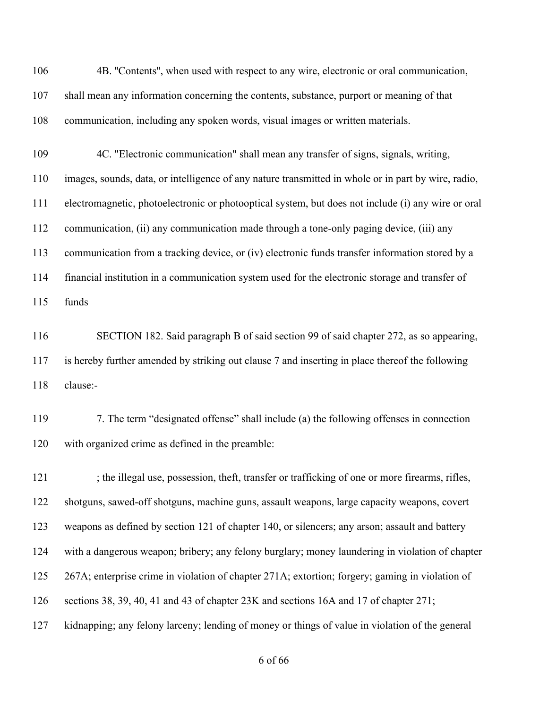106 4B. "Contents", when used with respect to any wire, electronic or oral communication, shall mean any information concerning the contents, substance, purport or meaning of that communication, including any spoken words, visual images or written materials.

 4C. "Electronic communication" shall mean any transfer of signs, signals, writing, images, sounds, data, or intelligence of any nature transmitted in whole or in part by wire, radio, electromagnetic, photoelectronic or photooptical system, but does not include (i) any wire or oral communication, (ii) any communication made through a tone-only paging device, (iii) any communication from a tracking device, or (iv) electronic funds transfer information stored by a financial institution in a communication system used for the electronic storage and transfer of funds

 SECTION 182. Said paragraph B of said section 99 of said chapter 272, as so appearing, is hereby further amended by striking out clause 7 and inserting in place thereof the following clause:-

 7. The term "designated offense" shall include (a) the following offenses in connection with organized crime as defined in the preamble:

121 ; the illegal use, possession, theft, transfer or trafficking of one or more firearms, rifles, shotguns, sawed-off shotguns, machine guns, assault weapons, large capacity weapons, covert weapons as defined by section 121 of chapter 140, or silencers; any arson; assault and battery with a dangerous weapon; bribery; any felony burglary; money laundering in violation of chapter 267A; enterprise crime in violation of chapter 271A; extortion; forgery; gaming in violation of sections 38, 39, 40, 41 and 43 of chapter 23K and sections 16A and 17 of chapter 271; kidnapping; any felony larceny; lending of money or things of value in violation of the general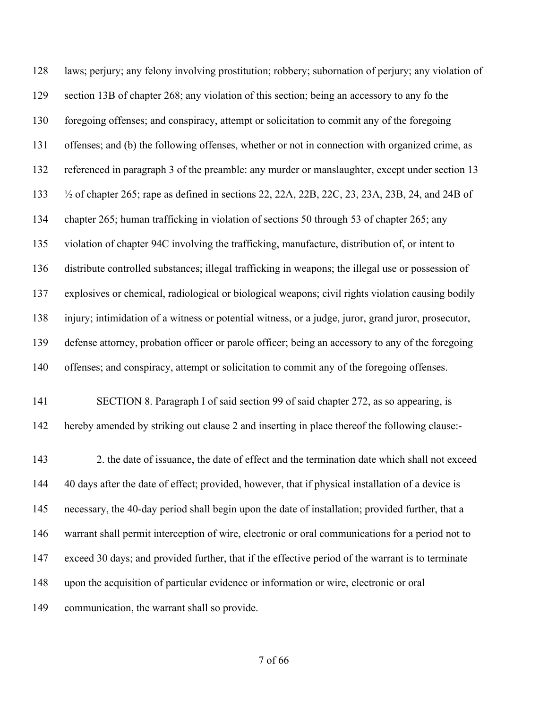laws; perjury; any felony involving prostitution; robbery; subornation of perjury; any violation of section 13B of chapter 268; any violation of this section; being an accessory to any fo the foregoing offenses; and conspiracy, attempt or solicitation to commit any of the foregoing offenses; and (b) the following offenses, whether or not in connection with organized crime, as referenced in paragraph 3 of the preamble: any murder or manslaughter, except under section 13 ½ of chapter 265; rape as defined in sections 22, 22A, 22B, 22C, 23, 23A, 23B, 24, and 24B of chapter 265; human trafficking in violation of sections 50 through 53 of chapter 265; any violation of chapter 94C involving the trafficking, manufacture, distribution of, or intent to distribute controlled substances; illegal trafficking in weapons; the illegal use or possession of explosives or chemical, radiological or biological weapons; civil rights violation causing bodily injury; intimidation of a witness or potential witness, or a judge, juror, grand juror, prosecutor, defense attorney, probation officer or parole officer; being an accessory to any of the foregoing offenses; and conspiracy, attempt or solicitation to commit any of the foregoing offenses. SECTION 8. Paragraph I of said section 99 of said chapter 272, as so appearing, is hereby amended by striking out clause 2 and inserting in place thereof the following clause:- 2. the date of issuance, the date of effect and the termination date which shall not exceed 40 days after the date of effect; provided, however, that if physical installation of a device is necessary, the 40-day period shall begin upon the date of installation; provided further, that a

warrant shall permit interception of wire, electronic or oral communications for a period not to

exceed 30 days; and provided further, that if the effective period of the warrant is to terminate

upon the acquisition of particular evidence or information or wire, electronic or oral

communication, the warrant shall so provide.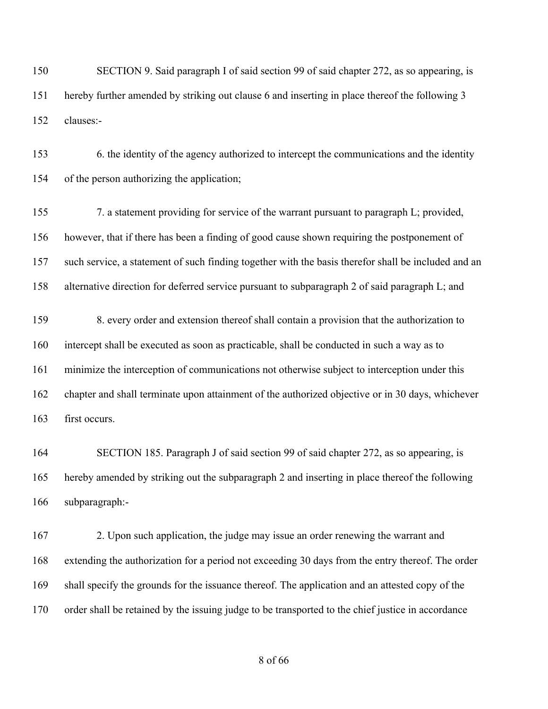SECTION 9. Said paragraph I of said section 99 of said chapter 272, as so appearing, is hereby further amended by striking out clause 6 and inserting in place thereof the following 3 clauses:-

 6. the identity of the agency authorized to intercept the communications and the identity of the person authorizing the application;

 7. a statement providing for service of the warrant pursuant to paragraph L; provided, however, that if there has been a finding of good cause shown requiring the postponement of such service, a statement of such finding together with the basis therefor shall be included and an alternative direction for deferred service pursuant to subparagraph 2 of said paragraph L; and

 8. every order and extension thereof shall contain a provision that the authorization to intercept shall be executed as soon as practicable, shall be conducted in such a way as to minimize the interception of communications not otherwise subject to interception under this chapter and shall terminate upon attainment of the authorized objective or in 30 days, whichever first occurs.

 SECTION 185. Paragraph J of said section 99 of said chapter 272, as so appearing, is hereby amended by striking out the subparagraph 2 and inserting in place thereof the following subparagraph:-

 2. Upon such application, the judge may issue an order renewing the warrant and extending the authorization for a period not exceeding 30 days from the entry thereof. The order shall specify the grounds for the issuance thereof. The application and an attested copy of the order shall be retained by the issuing judge to be transported to the chief justice in accordance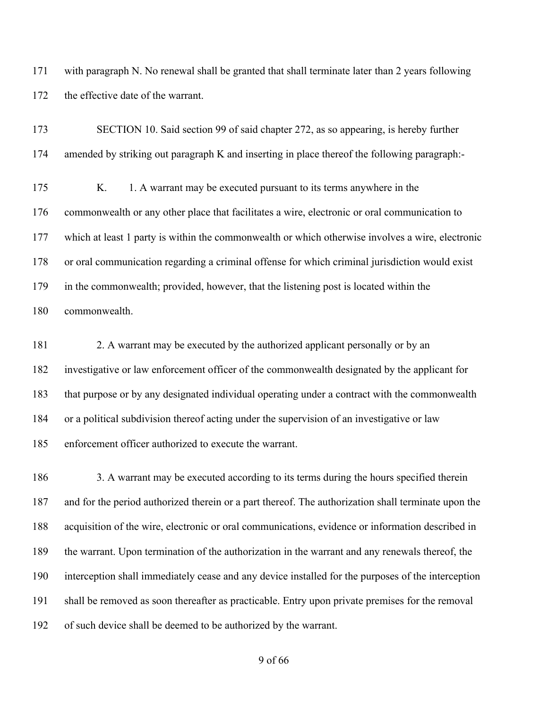with paragraph N. No renewal shall be granted that shall terminate later than 2 years following 172 the effective date of the warrant.

| 173 | SECTION 10. Said section 99 of said chapter 272, as so appearing, is hereby further              |
|-----|--------------------------------------------------------------------------------------------------|
| 174 | amended by striking out paragraph K and inserting in place thereof the following paragraph:-     |
| 175 | 1. A warrant may be executed pursuant to its terms anywhere in the<br>K.                         |
| 176 | commonwealth or any other place that facilitates a wire, electronic or oral communication to     |
| 177 | which at least 1 party is within the commonwealth or which otherwise involves a wire, electronic |
| 178 | or oral communication regarding a criminal offense for which criminal jurisdiction would exist   |
| 179 | in the commonwealth; provided, however, that the listening post is located within the            |
| 180 | commonwealth.                                                                                    |

 2. A warrant may be executed by the authorized applicant personally or by an investigative or law enforcement officer of the commonwealth designated by the applicant for that purpose or by any designated individual operating under a contract with the commonwealth or a political subdivision thereof acting under the supervision of an investigative or law enforcement officer authorized to execute the warrant.

186 3. A warrant may be executed according to its terms during the hours specified therein and for the period authorized therein or a part thereof. The authorization shall terminate upon the acquisition of the wire, electronic or oral communications, evidence or information described in the warrant. Upon termination of the authorization in the warrant and any renewals thereof, the interception shall immediately cease and any device installed for the purposes of the interception shall be removed as soon thereafter as practicable. Entry upon private premises for the removal of such device shall be deemed to be authorized by the warrant.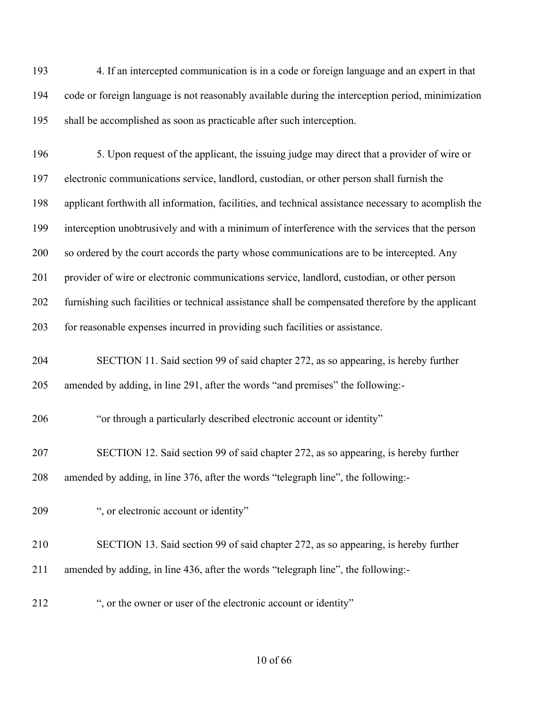4. If an intercepted communication is in a code or foreign language and an expert in that code or foreign language is not reasonably available during the interception period, minimization shall be accomplished as soon as practicable after such interception.

 5. Upon request of the applicant, the issuing judge may direct that a provider of wire or electronic communications service, landlord, custodian, or other person shall furnish the applicant forthwith all information, facilities, and technical assistance necessary to acomplish the interception unobtrusively and with a minimum of interference with the services that the person 200 so ordered by the court accords the party whose communications are to be intercepted. Any provider of wire or electronic communications service, landlord, custodian, or other person furnishing such facilities or technical assistance shall be compensated therefore by the applicant for reasonable expenses incurred in providing such facilities or assistance.

 SECTION 11. Said section 99 of said chapter 272, as so appearing, is hereby further amended by adding, in line 291, after the words "and premises" the following:-

"or through a particularly described electronic account or identity"

 SECTION 12. Said section 99 of said chapter 272, as so appearing, is hereby further amended by adding, in line 376, after the words "telegraph line", the following:-

- ", or electronic account or identity"
- SECTION 13. Said section 99 of said chapter 272, as so appearing, is hereby further
- amended by adding, in line 436, after the words "telegraph line", the following:-
- ", or the owner or user of the electronic account or identity"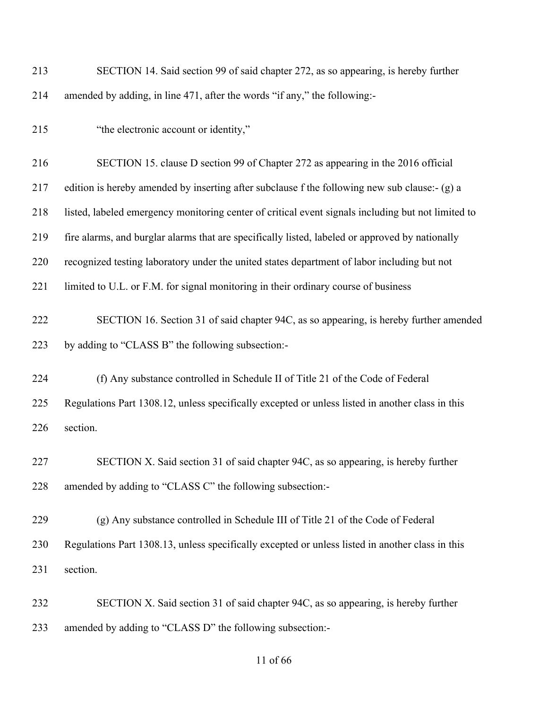| 213 | SECTION 14. Said section 99 of said chapter 272, as so appearing, is hereby further                |
|-----|----------------------------------------------------------------------------------------------------|
| 214 | amended by adding, in line 471, after the words "if any," the following:-                          |
| 215 | "the electronic account or identity,"                                                              |
| 216 | SECTION 15. clause D section 99 of Chapter 272 as appearing in the 2016 official                   |
| 217 | edition is hereby amended by inserting after subclause f the following new sub clause:- (g) a      |
| 218 | listed, labeled emergency monitoring center of critical event signals including but not limited to |
| 219 | fire alarms, and burglar alarms that are specifically listed, labeled or approved by nationally    |
| 220 | recognized testing laboratory under the united states department of labor including but not        |
| 221 | limited to U.L. or F.M. for signal monitoring in their ordinary course of business                 |
| 222 | SECTION 16. Section 31 of said chapter 94C, as so appearing, is hereby further amended             |
| 223 | by adding to "CLASS B" the following subsection:-                                                  |
| 224 | (f) Any substance controlled in Schedule II of Title 21 of the Code of Federal                     |
| 225 | Regulations Part 1308.12, unless specifically excepted or unless listed in another class in this   |
| 226 | section.                                                                                           |
| 227 | SECTION X. Said section 31 of said chapter 94C, as so appearing, is hereby further                 |
| 228 | amended by adding to "CLASS C" the following subsection:-                                          |
| 229 | (g) Any substance controlled in Schedule III of Title 21 of the Code of Federal                    |
| 230 | Regulations Part 1308.13, unless specifically excepted or unless listed in another class in this   |
| 231 | section.                                                                                           |
| 232 | SECTION X. Said section 31 of said chapter 94C, as so appearing, is hereby further                 |
| 233 | amended by adding to "CLASS D" the following subsection:-                                          |

## of 66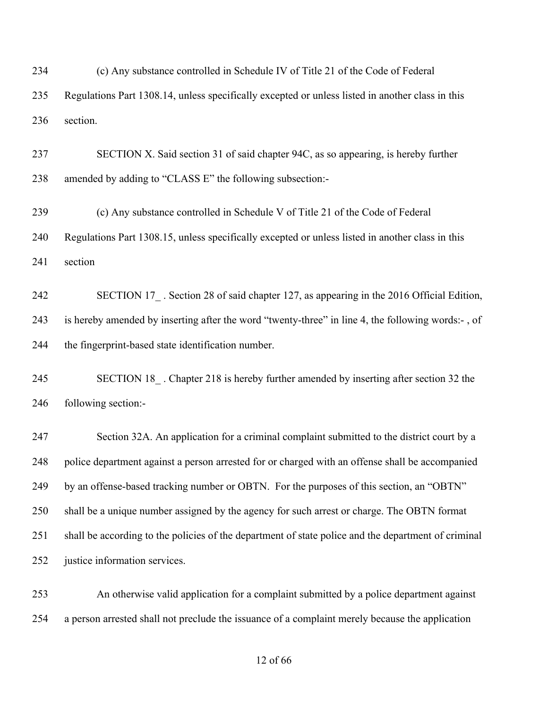(c) Any substance controlled in Schedule IV of Title 21 of the Code of Federal

 Regulations Part 1308.14, unless specifically excepted or unless listed in another class in this section.

 SECTION X. Said section 31 of said chapter 94C, as so appearing, is hereby further amended by adding to "CLASS E" the following subsection:-

 (c) Any substance controlled in Schedule V of Title 21 of the Code of Federal Regulations Part 1308.15, unless specifically excepted or unless listed in another class in this section

242 SECTION 17. Section 28 of said chapter 127, as appearing in the 2016 Official Edition, is hereby amended by inserting after the word "twenty-three" in line 4, the following words:- , of the fingerprint-based state identification number.

 SECTION 18\_ . Chapter 218 is hereby further amended by inserting after section 32 the following section:-

 Section 32A. An application for a criminal complaint submitted to the district court by a police department against a person arrested for or charged with an offense shall be accompanied by an offense-based tracking number or OBTN. For the purposes of this section, an "OBTN" shall be a unique number assigned by the agency for such arrest or charge. The OBTN format shall be according to the policies of the department of state police and the department of criminal justice information services.

 An otherwise valid application for a complaint submitted by a police department against a person arrested shall not preclude the issuance of a complaint merely because the application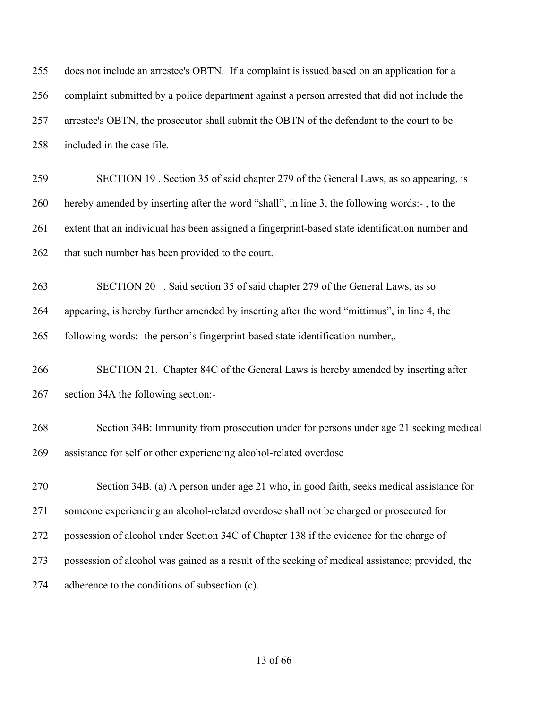| 255 | does not include an arrestee's OBTN. If a complaint is issued based on an application for a      |
|-----|--------------------------------------------------------------------------------------------------|
| 256 | complaint submitted by a police department against a person arrested that did not include the    |
| 257 | arrestee's OBTN, the prosecutor shall submit the OBTN of the defendant to the court to be        |
| 258 | included in the case file.                                                                       |
| 259 | SECTION 19. Section 35 of said chapter 279 of the General Laws, as so appearing, is              |
| 260 | hereby amended by inserting after the word "shall", in line 3, the following words:-, to the     |
| 261 | extent that an individual has been assigned a fingerprint-based state identification number and  |
| 262 | that such number has been provided to the court.                                                 |
| 263 | SECTION 20. Said section 35 of said chapter 279 of the General Laws, as so                       |
| 264 | appearing, is hereby further amended by inserting after the word "mittimus", in line 4, the      |
| 265 | following words:- the person's fingerprint-based state identification number,.                   |
| 266 | SECTION 21. Chapter 84C of the General Laws is hereby amended by inserting after                 |
| 267 | section 34A the following section:-                                                              |
| 268 | Section 34B: Immunity from prosecution under for persons under age 21 seeking medical            |
| 269 | assistance for self or other experiencing alcohol-related overdose                               |
| 270 | Section 34B. (a) A person under age 21 who, in good faith, seeks medical assistance for          |
| 271 | someone experiencing an alcohol-related overdose shall not be charged or prosecuted for          |
| 272 | possession of alcohol under Section 34C of Chapter 138 if the evidence for the charge of         |
| 273 | possession of alcohol was gained as a result of the seeking of medical assistance; provided, the |
| 274 | adherence to the conditions of subsection (c).                                                   |
|     |                                                                                                  |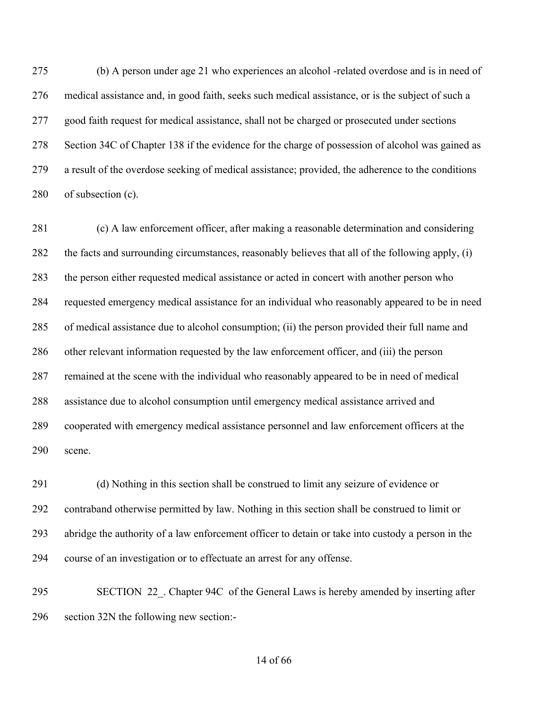(b) A person under age 21 who experiences an alcohol -related overdose and is in need of medical assistance and, in good faith, seeks such medical assistance, or is the subject of such a good faith request for medical assistance, shall not be charged or prosecuted under sections Section 34C of Chapter 138 if the evidence for the charge of possession of alcohol was gained as a result of the overdose seeking of medical assistance; provided, the adherence to the conditions of subsection (c).

 (c) A law enforcement officer, after making a reasonable determination and considering the facts and surrounding circumstances, reasonably believes that all of the following apply, (i) the person either requested medical assistance or acted in concert with another person who requested emergency medical assistance for an individual who reasonably appeared to be in need of medical assistance due to alcohol consumption; (ii) the person provided their full name and other relevant information requested by the law enforcement officer, and (iii) the person remained at the scene with the individual who reasonably appeared to be in need of medical assistance due to alcohol consumption until emergency medical assistance arrived and cooperated with emergency medical assistance personnel and law enforcement officers at the scene.

 (d) Nothing in this section shall be construed to limit any seizure of evidence or contraband otherwise permitted by law. Nothing in this section shall be construed to limit or abridge the authority of a law enforcement officer to detain or take into custody a person in the course of an investigation or to effectuate an arrest for any offense.

 SECTION 22\_. Chapter 94C of the General Laws is hereby amended by inserting after section 32N the following new section:-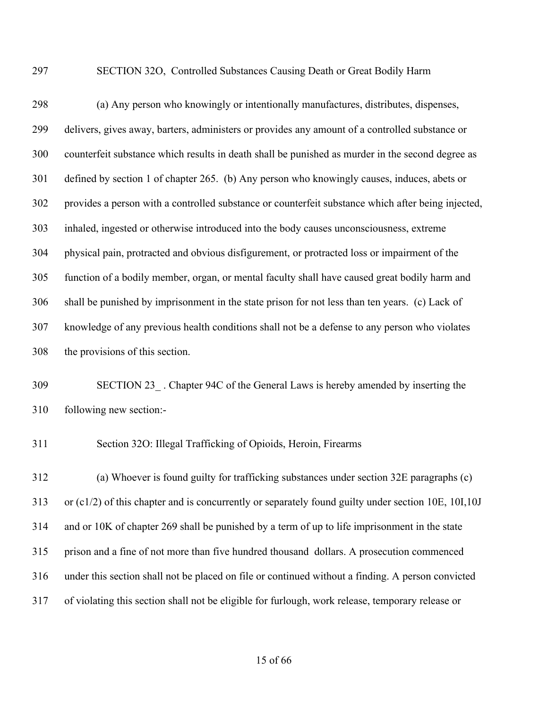SECTION 32O, Controlled Substances Causing Death or Great Bodily Harm

 (a) Any person who knowingly or intentionally manufactures, distributes, dispenses, delivers, gives away, barters, administers or provides any amount of a controlled substance or counterfeit substance which results in death shall be punished as murder in the second degree as defined by section 1 of chapter 265. (b) Any person who knowingly causes, induces, abets or provides a person with a controlled substance or counterfeit substance which after being injected, inhaled, ingested or otherwise introduced into the body causes unconsciousness, extreme physical pain, protracted and obvious disfigurement, or protracted loss or impairment of the function of a bodily member, organ, or mental faculty shall have caused great bodily harm and shall be punished by imprisonment in the state prison for not less than ten years. (c) Lack of knowledge of any previous health conditions shall not be a defense to any person who violates the provisions of this section.

 SECTION 23\_ . Chapter 94C of the General Laws is hereby amended by inserting the following new section:-

Section 32O: Illegal Trafficking of Opioids, Heroin, Firearms

 (a) Whoever is found guilty for trafficking substances under section 32E paragraphs (c) or (c1/2) of this chapter and is concurrently or separately found guilty under section 10E, 10I,10J and or 10K of chapter 269 shall be punished by a term of up to life imprisonment in the state prison and a fine of not more than five hundred thousand dollars. A prosecution commenced under this section shall not be placed on file or continued without a finding. A person convicted of violating this section shall not be eligible for furlough, work release, temporary release or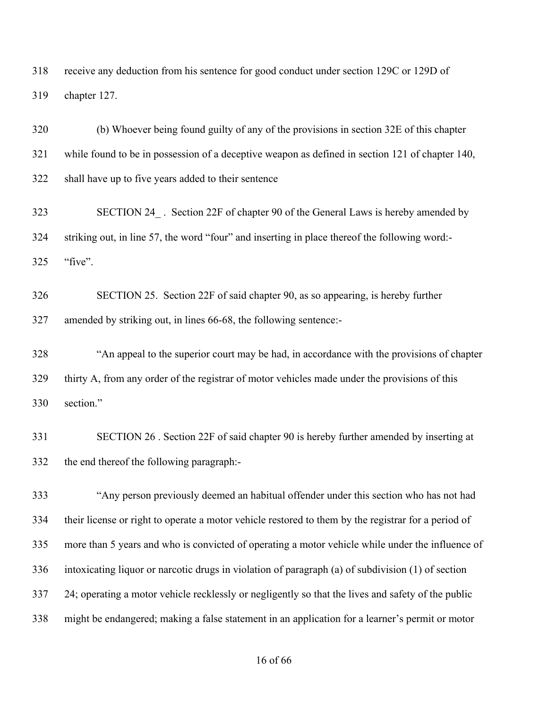receive any deduction from his sentence for good conduct under section 129C or 129D of chapter 127.

 (b) Whoever being found guilty of any of the provisions in section 32E of this chapter while found to be in possession of a deceptive weapon as defined in section 121 of chapter 140, shall have up to five years added to their sentence

 SECTION 24\_ . Section 22F of chapter 90 of the General Laws is hereby amended by striking out, in line 57, the word "four" and inserting in place thereof the following word:- "five".

 SECTION 25. Section 22F of said chapter 90, as so appearing, is hereby further amended by striking out, in lines 66-68, the following sentence:-

 "An appeal to the superior court may be had, in accordance with the provisions of chapter thirty A, from any order of the registrar of motor vehicles made under the provisions of this section."

 SECTION 26 . Section 22F of said chapter 90 is hereby further amended by inserting at the end thereof the following paragraph:-

 "Any person previously deemed an habitual offender under this section who has not had their license or right to operate a motor vehicle restored to them by the registrar for a period of more than 5 years and who is convicted of operating a motor vehicle while under the influence of intoxicating liquor or narcotic drugs in violation of paragraph (a) of subdivision (1) of section 24; operating a motor vehicle recklessly or negligently so that the lives and safety of the public might be endangered; making a false statement in an application for a learner's permit or motor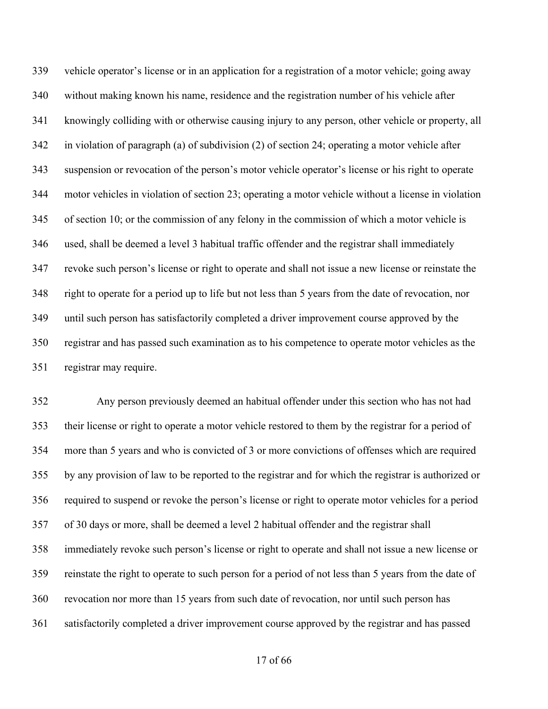vehicle operator's license or in an application for a registration of a motor vehicle; going away without making known his name, residence and the registration number of his vehicle after knowingly colliding with or otherwise causing injury to any person, other vehicle or property, all in violation of paragraph (a) of subdivision (2) of section 24; operating a motor vehicle after suspension or revocation of the person's motor vehicle operator's license or his right to operate motor vehicles in violation of section 23; operating a motor vehicle without a license in violation of section 10; or the commission of any felony in the commission of which a motor vehicle is used, shall be deemed a level 3 habitual traffic offender and the registrar shall immediately revoke such person's license or right to operate and shall not issue a new license or reinstate the right to operate for a period up to life but not less than 5 years from the date of revocation, nor until such person has satisfactorily completed a driver improvement course approved by the registrar and has passed such examination as to his competence to operate motor vehicles as the registrar may require.

 Any person previously deemed an habitual offender under this section who has not had their license or right to operate a motor vehicle restored to them by the registrar for a period of more than 5 years and who is convicted of 3 or more convictions of offenses which are required by any provision of law to be reported to the registrar and for which the registrar is authorized or required to suspend or revoke the person's license or right to operate motor vehicles for a period of 30 days or more, shall be deemed a level 2 habitual offender and the registrar shall immediately revoke such person's license or right to operate and shall not issue a new license or reinstate the right to operate to such person for a period of not less than 5 years from the date of revocation nor more than 15 years from such date of revocation, nor until such person has satisfactorily completed a driver improvement course approved by the registrar and has passed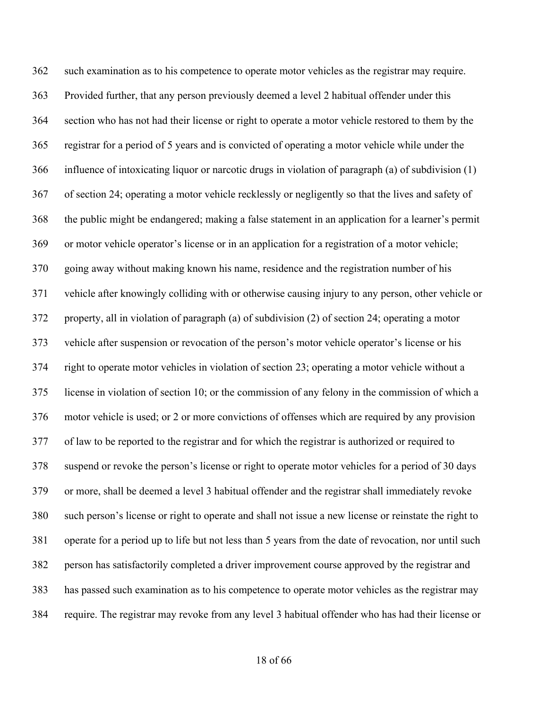such examination as to his competence to operate motor vehicles as the registrar may require. Provided further, that any person previously deemed a level 2 habitual offender under this section who has not had their license or right to operate a motor vehicle restored to them by the registrar for a period of 5 years and is convicted of operating a motor vehicle while under the influence of intoxicating liquor or narcotic drugs in violation of paragraph (a) of subdivision (1) of section 24; operating a motor vehicle recklessly or negligently so that the lives and safety of the public might be endangered; making a false statement in an application for a learner's permit or motor vehicle operator's license or in an application for a registration of a motor vehicle; going away without making known his name, residence and the registration number of his vehicle after knowingly colliding with or otherwise causing injury to any person, other vehicle or property, all in violation of paragraph (a) of subdivision (2) of section 24; operating a motor vehicle after suspension or revocation of the person's motor vehicle operator's license or his right to operate motor vehicles in violation of section 23; operating a motor vehicle without a license in violation of section 10; or the commission of any felony in the commission of which a motor vehicle is used; or 2 or more convictions of offenses which are required by any provision of law to be reported to the registrar and for which the registrar is authorized or required to suspend or revoke the person's license or right to operate motor vehicles for a period of 30 days or more, shall be deemed a level 3 habitual offender and the registrar shall immediately revoke such person's license or right to operate and shall not issue a new license or reinstate the right to operate for a period up to life but not less than 5 years from the date of revocation, nor until such person has satisfactorily completed a driver improvement course approved by the registrar and has passed such examination as to his competence to operate motor vehicles as the registrar may require. The registrar may revoke from any level 3 habitual offender who has had their license or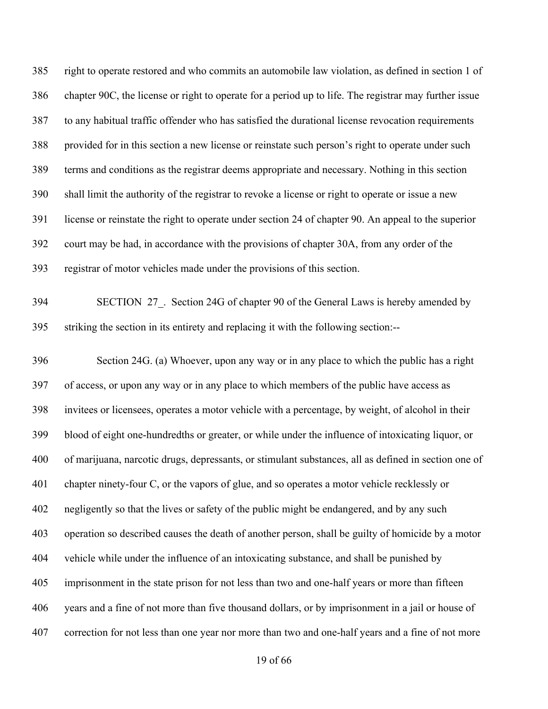right to operate restored and who commits an automobile law violation, as defined in section 1 of chapter 90C, the license or right to operate for a period up to life. The registrar may further issue to any habitual traffic offender who has satisfied the durational license revocation requirements provided for in this section a new license or reinstate such person's right to operate under such terms and conditions as the registrar deems appropriate and necessary. Nothing in this section shall limit the authority of the registrar to revoke a license or right to operate or issue a new license or reinstate the right to operate under section 24 of chapter 90. An appeal to the superior court may be had, in accordance with the provisions of chapter 30A, from any order of the registrar of motor vehicles made under the provisions of this section.

394 SECTION 27. Section 24G of chapter 90 of the General Laws is hereby amended by striking the section in its entirety and replacing it with the following section:--

 Section 24G. (a) Whoever, upon any way or in any place to which the public has a right of access, or upon any way or in any place to which members of the public have access as invitees or licensees, operates a motor vehicle with a percentage, by weight, of alcohol in their blood of eight one-hundredths or greater, or while under the influence of intoxicating liquor, or of marijuana, narcotic drugs, depressants, or stimulant substances, all as defined in section one of chapter ninety-four C, or the vapors of glue, and so operates a motor vehicle recklessly or negligently so that the lives or safety of the public might be endangered, and by any such operation so described causes the death of another person, shall be guilty of homicide by a motor vehicle while under the influence of an intoxicating substance, and shall be punished by imprisonment in the state prison for not less than two and one-half years or more than fifteen years and a fine of not more than five thousand dollars, or by imprisonment in a jail or house of correction for not less than one year nor more than two and one-half years and a fine of not more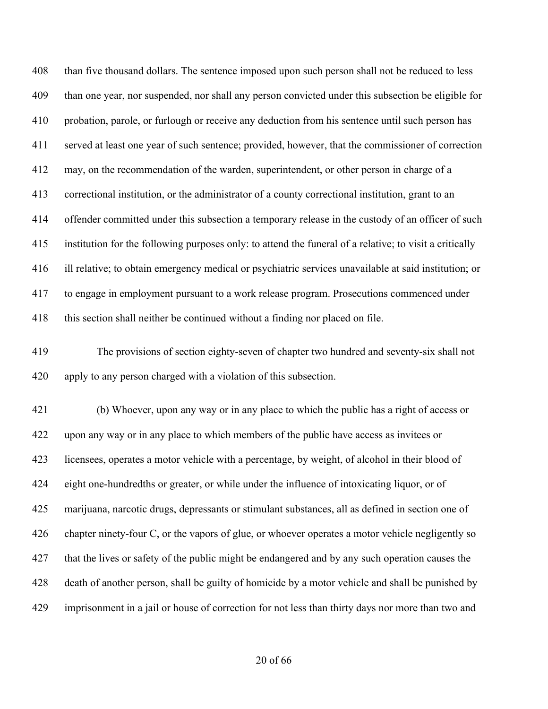408 than five thousand dollars. The sentence imposed upon such person shall not be reduced to less than one year, nor suspended, nor shall any person convicted under this subsection be eligible for probation, parole, or furlough or receive any deduction from his sentence until such person has served at least one year of such sentence; provided, however, that the commissioner of correction may, on the recommendation of the warden, superintendent, or other person in charge of a correctional institution, or the administrator of a county correctional institution, grant to an offender committed under this subsection a temporary release in the custody of an officer of such institution for the following purposes only: to attend the funeral of a relative; to visit a critically ill relative; to obtain emergency medical or psychiatric services unavailable at said institution; or to engage in employment pursuant to a work release program. Prosecutions commenced under this section shall neither be continued without a finding nor placed on file.

 The provisions of section eighty-seven of chapter two hundred and seventy-six shall not apply to any person charged with a violation of this subsection.

 (b) Whoever, upon any way or in any place to which the public has a right of access or upon any way or in any place to which members of the public have access as invitees or licensees, operates a motor vehicle with a percentage, by weight, of alcohol in their blood of eight one-hundredths or greater, or while under the influence of intoxicating liquor, or of marijuana, narcotic drugs, depressants or stimulant substances, all as defined in section one of chapter ninety-four C, or the vapors of glue, or whoever operates a motor vehicle negligently so that the lives or safety of the public might be endangered and by any such operation causes the death of another person, shall be guilty of homicide by a motor vehicle and shall be punished by imprisonment in a jail or house of correction for not less than thirty days nor more than two and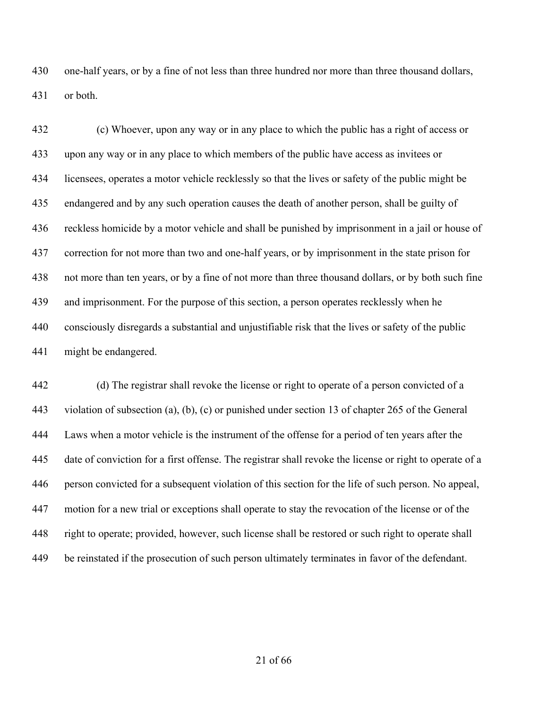one-half years, or by a fine of not less than three hundred nor more than three thousand dollars, or both.

 (c) Whoever, upon any way or in any place to which the public has a right of access or upon any way or in any place to which members of the public have access as invitees or licensees, operates a motor vehicle recklessly so that the lives or safety of the public might be endangered and by any such operation causes the death of another person, shall be guilty of reckless homicide by a motor vehicle and shall be punished by imprisonment in a jail or house of correction for not more than two and one-half years, or by imprisonment in the state prison for not more than ten years, or by a fine of not more than three thousand dollars, or by both such fine and imprisonment. For the purpose of this section, a person operates recklessly when he consciously disregards a substantial and unjustifiable risk that the lives or safety of the public might be endangered.

 (d) The registrar shall revoke the license or right to operate of a person convicted of a violation of subsection (a), (b), (c) or punished under section 13 of chapter 265 of the General Laws when a motor vehicle is the instrument of the offense for a period of ten years after the date of conviction for a first offense. The registrar shall revoke the license or right to operate of a person convicted for a subsequent violation of this section for the life of such person. No appeal, motion for a new trial or exceptions shall operate to stay the revocation of the license or of the right to operate; provided, however, such license shall be restored or such right to operate shall be reinstated if the prosecution of such person ultimately terminates in favor of the defendant.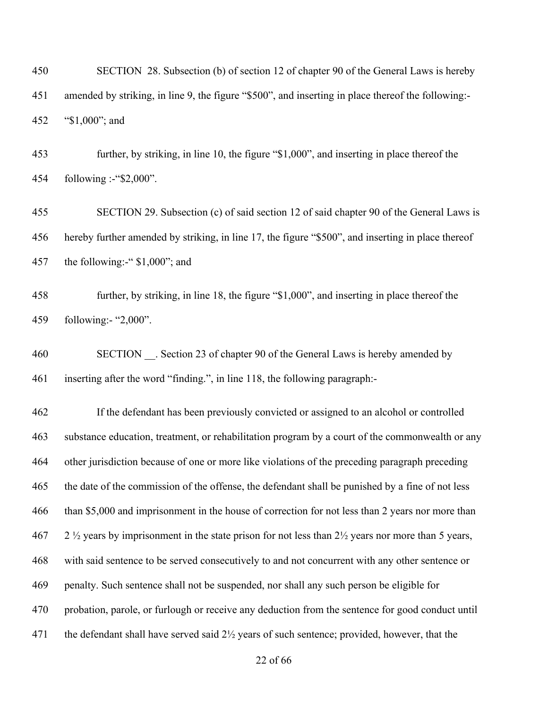SECTION 28. Subsection (b) of section 12 of chapter 90 of the General Laws is hereby amended by striking, in line 9, the figure "\$500", and inserting in place thereof the following:- "\$1,000"; and

 further, by striking, in line 10, the figure "\$1,000", and inserting in place thereof the following :-"\$2,000".

 SECTION 29. Subsection (c) of said section 12 of said chapter 90 of the General Laws is hereby further amended by striking, in line 17, the figure "\$500", and inserting in place thereof the following:-" \$1,000"; and

 further, by striking, in line 18, the figure "\$1,000", and inserting in place thereof the following:- "2,000".

460 SECTION . Section 23 of chapter 90 of the General Laws is hereby amended by inserting after the word "finding.", in line 118, the following paragraph:-

 If the defendant has been previously convicted or assigned to an alcohol or controlled substance education, treatment, or rehabilitation program by a court of the commonwealth or any other jurisdiction because of one or more like violations of the preceding paragraph preceding the date of the commission of the offense, the defendant shall be punished by a fine of not less than \$5,000 and imprisonment in the house of correction for not less than 2 years nor more than 2  $\frac{1}{2}$  years by imprisonment in the state prison for not less than  $2\frac{1}{2}$  years nor more than 5 years, with said sentence to be served consecutively to and not concurrent with any other sentence or penalty. Such sentence shall not be suspended, nor shall any such person be eligible for probation, parole, or furlough or receive any deduction from the sentence for good conduct until 471 the defendant shall have served said 2½ years of such sentence; provided, however, that the

of 66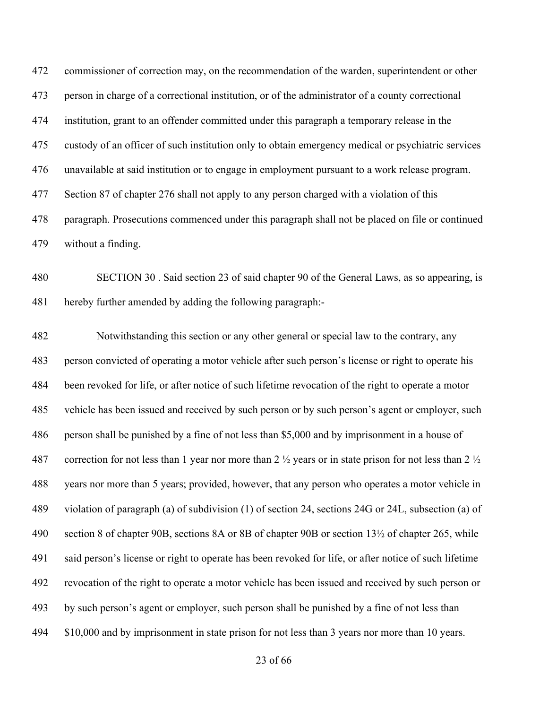commissioner of correction may, on the recommendation of the warden, superintendent or other person in charge of a correctional institution, or of the administrator of a county correctional institution, grant to an offender committed under this paragraph a temporary release in the custody of an officer of such institution only to obtain emergency medical or psychiatric services unavailable at said institution or to engage in employment pursuant to a work release program. Section 87 of chapter 276 shall not apply to any person charged with a violation of this paragraph. Prosecutions commenced under this paragraph shall not be placed on file or continued without a finding.

 SECTION 30 . Said section 23 of said chapter 90 of the General Laws, as so appearing, is hereby further amended by adding the following paragraph:-

 Notwithstanding this section or any other general or special law to the contrary, any person convicted of operating a motor vehicle after such person's license or right to operate his been revoked for life, or after notice of such lifetime revocation of the right to operate a motor vehicle has been issued and received by such person or by such person's agent or employer, such person shall be punished by a fine of not less than \$5,000 and by imprisonment in a house of 487 correction for not less than 1 year nor more than 2  $\frac{1}{2}$  years or in state prison for not less than 2  $\frac{1}{2}$  years nor more than 5 years; provided, however, that any person who operates a motor vehicle in violation of paragraph (a) of subdivision (1) of section 24, sections 24G or 24L, subsection (a) of section 8 of chapter 90B, sections 8A or 8B of chapter 90B or section 13½ of chapter 265, while said person's license or right to operate has been revoked for life, or after notice of such lifetime revocation of the right to operate a motor vehicle has been issued and received by such person or by such person's agent or employer, such person shall be punished by a fine of not less than \$10,000 and by imprisonment in state prison for not less than 3 years nor more than 10 years.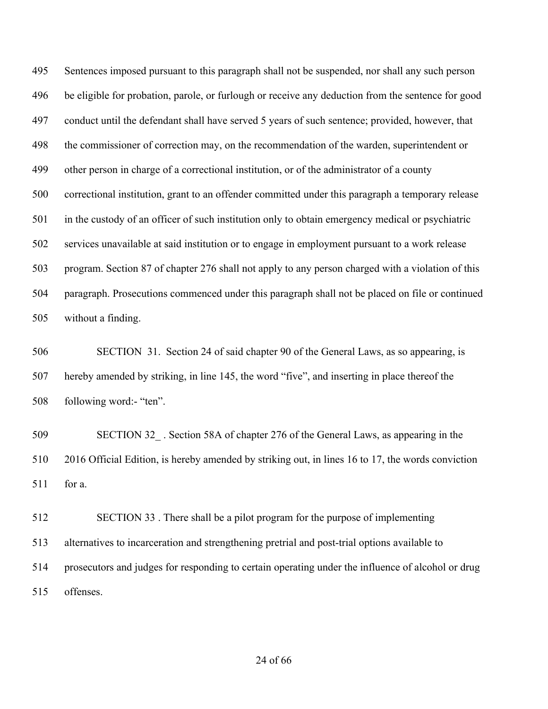Sentences imposed pursuant to this paragraph shall not be suspended, nor shall any such person be eligible for probation, parole, or furlough or receive any deduction from the sentence for good conduct until the defendant shall have served 5 years of such sentence; provided, however, that the commissioner of correction may, on the recommendation of the warden, superintendent or other person in charge of a correctional institution, or of the administrator of a county correctional institution, grant to an offender committed under this paragraph a temporary release in the custody of an officer of such institution only to obtain emergency medical or psychiatric services unavailable at said institution or to engage in employment pursuant to a work release program. Section 87 of chapter 276 shall not apply to any person charged with a violation of this paragraph. Prosecutions commenced under this paragraph shall not be placed on file or continued without a finding.

 SECTION 31. Section 24 of said chapter 90 of the General Laws, as so appearing, is hereby amended by striking, in line 145, the word "five", and inserting in place thereof the following word:- "ten".

 SECTION 32\_ . Section 58A of chapter 276 of the General Laws, as appearing in the 2016 Official Edition, is hereby amended by striking out, in lines 16 to 17, the words conviction for a.

 SECTION 33 . There shall be a pilot program for the purpose of implementing alternatives to incarceration and strengthening pretrial and post-trial options available to prosecutors and judges for responding to certain operating under the influence of alcohol or drug offenses.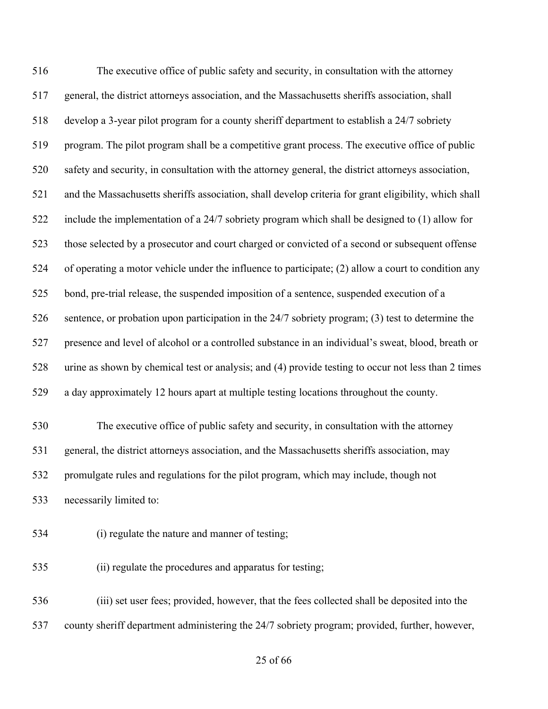The executive office of public safety and security, in consultation with the attorney general, the district attorneys association, and the Massachusetts sheriffs association, shall develop a 3-year pilot program for a county sheriff department to establish a 24/7 sobriety program. The pilot program shall be a competitive grant process. The executive office of public safety and security, in consultation with the attorney general, the district attorneys association, and the Massachusetts sheriffs association, shall develop criteria for grant eligibility, which shall include the implementation of a 24/7 sobriety program which shall be designed to (1) allow for those selected by a prosecutor and court charged or convicted of a second or subsequent offense of operating a motor vehicle under the influence to participate; (2) allow a court to condition any bond, pre-trial release, the suspended imposition of a sentence, suspended execution of a sentence, or probation upon participation in the 24/7 sobriety program; (3) test to determine the presence and level of alcohol or a controlled substance in an individual's sweat, blood, breath or urine as shown by chemical test or analysis; and (4) provide testing to occur not less than 2 times a day approximately 12 hours apart at multiple testing locations throughout the county. The executive office of public safety and security, in consultation with the attorney general, the district attorneys association, and the Massachusetts sheriffs association, may promulgate rules and regulations for the pilot program, which may include, though not necessarily limited to: (i) regulate the nature and manner of testing;

(ii) regulate the procedures and apparatus for testing;

 (iii) set user fees; provided, however, that the fees collected shall be deposited into the county sheriff department administering the 24/7 sobriety program; provided, further, however,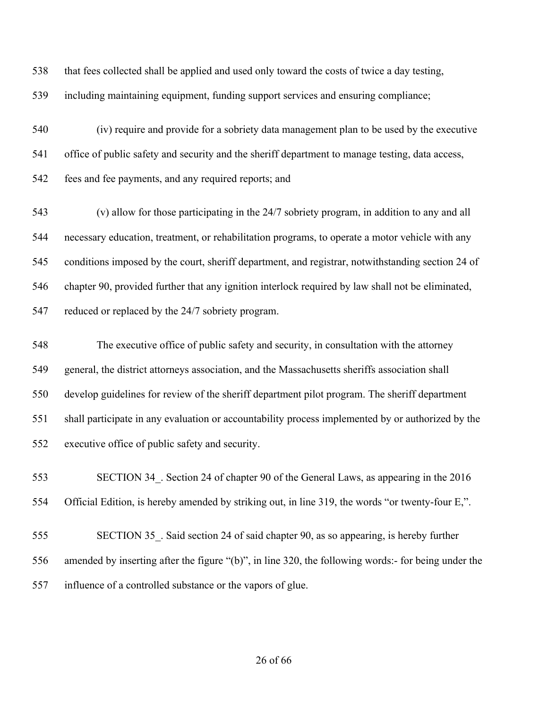that fees collected shall be applied and used only toward the costs of twice a day testing,

including maintaining equipment, funding support services and ensuring compliance;

 (iv) require and provide for a sobriety data management plan to be used by the executive office of public safety and security and the sheriff department to manage testing, data access, fees and fee payments, and any required reports; and

 (v) allow for those participating in the 24/7 sobriety program, in addition to any and all necessary education, treatment, or rehabilitation programs, to operate a motor vehicle with any conditions imposed by the court, sheriff department, and registrar, notwithstanding section 24 of chapter 90, provided further that any ignition interlock required by law shall not be eliminated, reduced or replaced by the 24/7 sobriety program.

 The executive office of public safety and security, in consultation with the attorney general, the district attorneys association, and the Massachusetts sheriffs association shall develop guidelines for review of the sheriff department pilot program. The sheriff department shall participate in any evaluation or accountability process implemented by or authorized by the executive office of public safety and security.

 SECTION 34\_. Section 24 of chapter 90 of the General Laws, as appearing in the 2016 Official Edition, is hereby amended by striking out, in line 319, the words "or twenty-four E,".

 SECTION 35\_. Said section 24 of said chapter 90, as so appearing, is hereby further amended by inserting after the figure "(b)", in line 320, the following words:- for being under the influence of a controlled substance or the vapors of glue.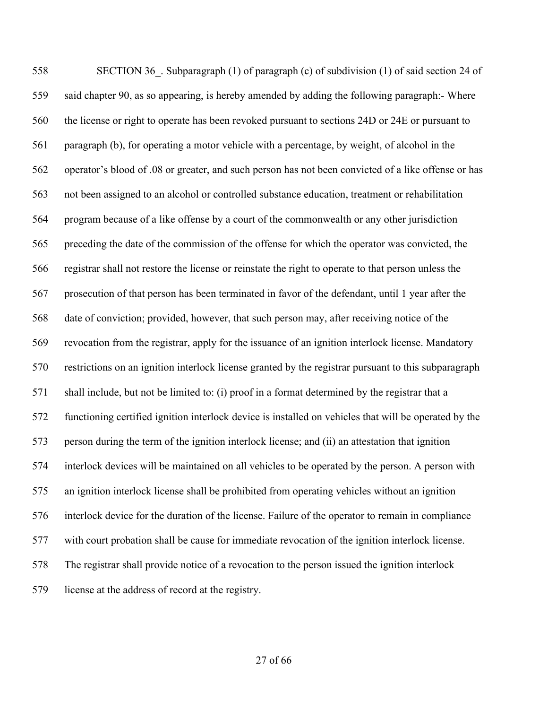558 SECTION 36. Subparagraph (1) of paragraph (c) of subdivision (1) of said section 24 of said chapter 90, as so appearing, is hereby amended by adding the following paragraph:- Where the license or right to operate has been revoked pursuant to sections 24D or 24E or pursuant to paragraph (b), for operating a motor vehicle with a percentage, by weight, of alcohol in the operator's blood of .08 or greater, and such person has not been convicted of a like offense or has not been assigned to an alcohol or controlled substance education, treatment or rehabilitation program because of a like offense by a court of the commonwealth or any other jurisdiction preceding the date of the commission of the offense for which the operator was convicted, the registrar shall not restore the license or reinstate the right to operate to that person unless the prosecution of that person has been terminated in favor of the defendant, until 1 year after the date of conviction; provided, however, that such person may, after receiving notice of the revocation from the registrar, apply for the issuance of an ignition interlock license. Mandatory restrictions on an ignition interlock license granted by the registrar pursuant to this subparagraph shall include, but not be limited to: (i) proof in a format determined by the registrar that a functioning certified ignition interlock device is installed on vehicles that will be operated by the person during the term of the ignition interlock license; and (ii) an attestation that ignition interlock devices will be maintained on all vehicles to be operated by the person. A person with an ignition interlock license shall be prohibited from operating vehicles without an ignition interlock device for the duration of the license. Failure of the operator to remain in compliance with court probation shall be cause for immediate revocation of the ignition interlock license. The registrar shall provide notice of a revocation to the person issued the ignition interlock license at the address of record at the registry.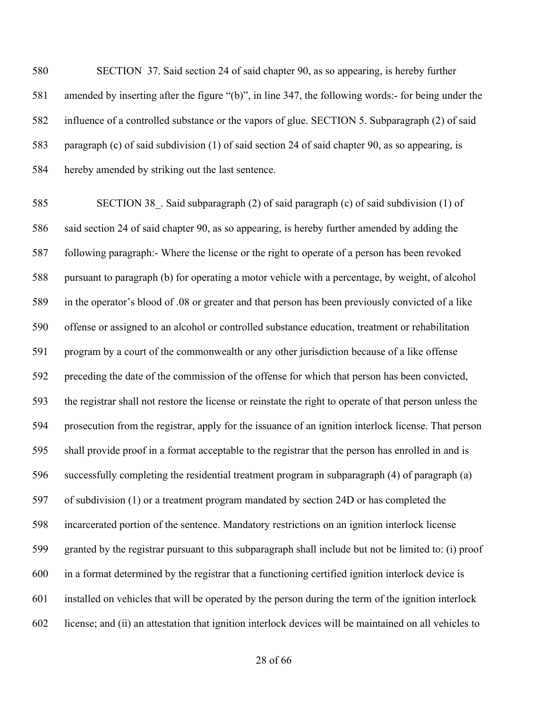SECTION 37. Said section 24 of said chapter 90, as so appearing, is hereby further amended by inserting after the figure "(b)", in line 347, the following words:- for being under the influence of a controlled substance or the vapors of glue. SECTION 5. Subparagraph (2) of said paragraph (c) of said subdivision (1) of said section 24 of said chapter 90, as so appearing, is hereby amended by striking out the last sentence.

585 SECTION 38. Said subparagraph (2) of said paragraph (c) of said subdivision (1) of said section 24 of said chapter 90, as so appearing, is hereby further amended by adding the following paragraph:- Where the license or the right to operate of a person has been revoked pursuant to paragraph (b) for operating a motor vehicle with a percentage, by weight, of alcohol in the operator's blood of .08 or greater and that person has been previously convicted of a like offense or assigned to an alcohol or controlled substance education, treatment or rehabilitation program by a court of the commonwealth or any other jurisdiction because of a like offense preceding the date of the commission of the offense for which that person has been convicted, the registrar shall not restore the license or reinstate the right to operate of that person unless the prosecution from the registrar, apply for the issuance of an ignition interlock license. That person shall provide proof in a format acceptable to the registrar that the person has enrolled in and is successfully completing the residential treatment program in subparagraph (4) of paragraph (a) of subdivision (1) or a treatment program mandated by section 24D or has completed the incarcerated portion of the sentence. Mandatory restrictions on an ignition interlock license granted by the registrar pursuant to this subparagraph shall include but not be limited to: (i) proof in a format determined by the registrar that a functioning certified ignition interlock device is installed on vehicles that will be operated by the person during the term of the ignition interlock license; and (ii) an attestation that ignition interlock devices will be maintained on all vehicles to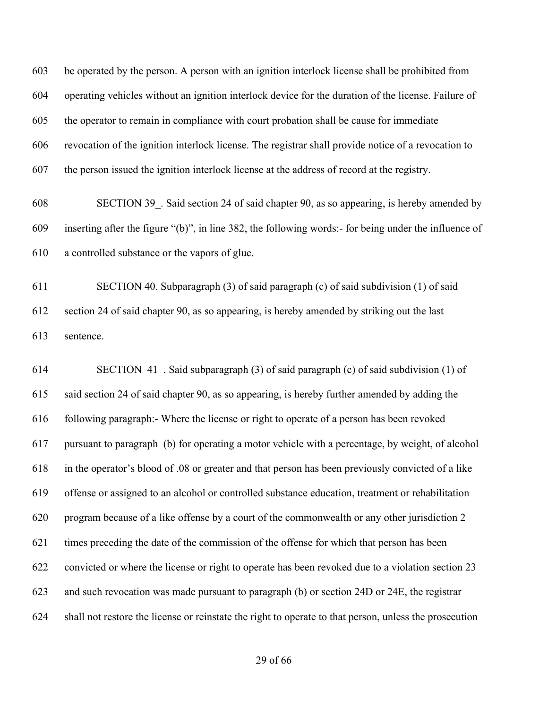be operated by the person. A person with an ignition interlock license shall be prohibited from operating vehicles without an ignition interlock device for the duration of the license. Failure of the operator to remain in compliance with court probation shall be cause for immediate revocation of the ignition interlock license. The registrar shall provide notice of a revocation to the person issued the ignition interlock license at the address of record at the registry.

 SECTION 39\_. Said section 24 of said chapter 90, as so appearing, is hereby amended by inserting after the figure "(b)", in line 382, the following words:- for being under the influence of a controlled substance or the vapors of glue.

 SECTION 40. Subparagraph (3) of said paragraph (c) of said subdivision (1) of said section 24 of said chapter 90, as so appearing, is hereby amended by striking out the last sentence.

 SECTION 41\_. Said subparagraph (3) of said paragraph (c) of said subdivision (1) of said section 24 of said chapter 90, as so appearing, is hereby further amended by adding the following paragraph:- Where the license or right to operate of a person has been revoked pursuant to paragraph (b) for operating a motor vehicle with a percentage, by weight, of alcohol in the operator's blood of .08 or greater and that person has been previously convicted of a like offense or assigned to an alcohol or controlled substance education, treatment or rehabilitation program because of a like offense by a court of the commonwealth or any other jurisdiction 2 times preceding the date of the commission of the offense for which that person has been convicted or where the license or right to operate has been revoked due to a violation section 23 and such revocation was made pursuant to paragraph (b) or section 24D or 24E, the registrar shall not restore the license or reinstate the right to operate to that person, unless the prosecution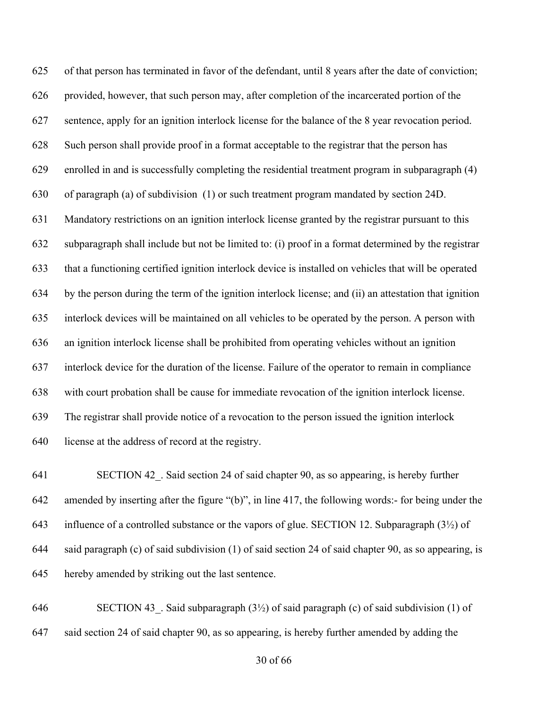of that person has terminated in favor of the defendant, until 8 years after the date of conviction; provided, however, that such person may, after completion of the incarcerated portion of the sentence, apply for an ignition interlock license for the balance of the 8 year revocation period. Such person shall provide proof in a format acceptable to the registrar that the person has enrolled in and is successfully completing the residential treatment program in subparagraph (4) of paragraph (a) of subdivision (1) or such treatment program mandated by section 24D. Mandatory restrictions on an ignition interlock license granted by the registrar pursuant to this subparagraph shall include but not be limited to: (i) proof in a format determined by the registrar that a functioning certified ignition interlock device is installed on vehicles that will be operated by the person during the term of the ignition interlock license; and (ii) an attestation that ignition interlock devices will be maintained on all vehicles to be operated by the person. A person with an ignition interlock license shall be prohibited from operating vehicles without an ignition interlock device for the duration of the license. Failure of the operator to remain in compliance with court probation shall be cause for immediate revocation of the ignition interlock license. The registrar shall provide notice of a revocation to the person issued the ignition interlock license at the address of record at the registry.

 SECTION 42\_. Said section 24 of said chapter 90, as so appearing, is hereby further amended by inserting after the figure "(b)", in line 417, the following words:- for being under the 643 influence of a controlled substance or the vapors of glue. SECTION 12. Subparagraph  $(3\frac{1}{2})$  of said paragraph (c) of said subdivision (1) of said section 24 of said chapter 90, as so appearing, is hereby amended by striking out the last sentence.

646 SECTION 43. Said subparagraph  $(3\frac{1}{2})$  of said paragraph (c) of said subdivision (1) of said section 24 of said chapter 90, as so appearing, is hereby further amended by adding the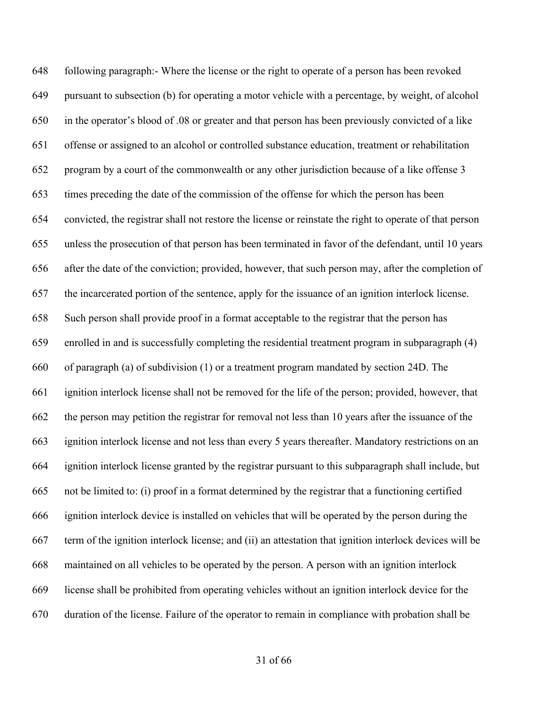following paragraph:- Where the license or the right to operate of a person has been revoked pursuant to subsection (b) for operating a motor vehicle with a percentage, by weight, of alcohol in the operator's blood of .08 or greater and that person has been previously convicted of a like offense or assigned to an alcohol or controlled substance education, treatment or rehabilitation program by a court of the commonwealth or any other jurisdiction because of a like offense 3 times preceding the date of the commission of the offense for which the person has been convicted, the registrar shall not restore the license or reinstate the right to operate of that person unless the prosecution of that person has been terminated in favor of the defendant, until 10 years after the date of the conviction; provided, however, that such person may, after the completion of the incarcerated portion of the sentence, apply for the issuance of an ignition interlock license. Such person shall provide proof in a format acceptable to the registrar that the person has enrolled in and is successfully completing the residential treatment program in subparagraph (4) of paragraph (a) of subdivision (1) or a treatment program mandated by section 24D. The ignition interlock license shall not be removed for the life of the person; provided, however, that the person may petition the registrar for removal not less than 10 years after the issuance of the ignition interlock license and not less than every 5 years thereafter. Mandatory restrictions on an ignition interlock license granted by the registrar pursuant to this subparagraph shall include, but not be limited to: (i) proof in a format determined by the registrar that a functioning certified ignition interlock device is installed on vehicles that will be operated by the person during the term of the ignition interlock license; and (ii) an attestation that ignition interlock devices will be maintained on all vehicles to be operated by the person. A person with an ignition interlock license shall be prohibited from operating vehicles without an ignition interlock device for the duration of the license. Failure of the operator to remain in compliance with probation shall be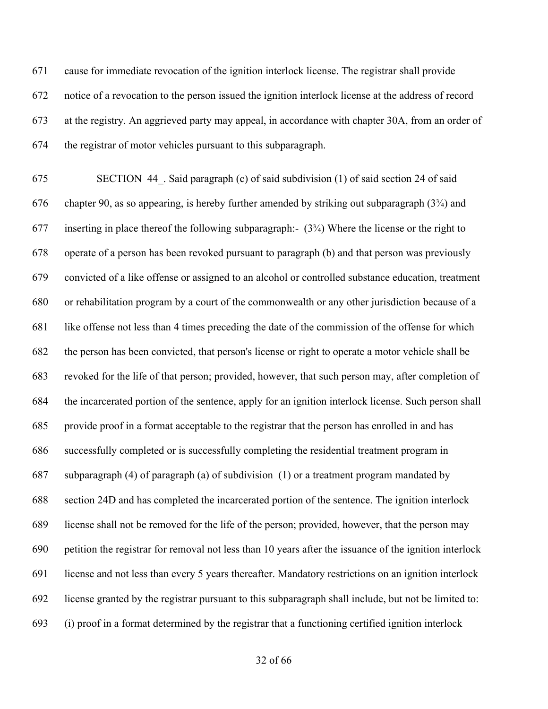cause for immediate revocation of the ignition interlock license. The registrar shall provide notice of a revocation to the person issued the ignition interlock license at the address of record at the registry. An aggrieved party may appeal, in accordance with chapter 30A, from an order of the registrar of motor vehicles pursuant to this subparagraph.

 SECTION 44\_. Said paragraph (c) of said subdivision (1) of said section 24 of said chapter 90, as so appearing, is hereby further amended by striking out subparagraph (3¾) and inserting in place thereof the following subparagraph:- (3¾) Where the license or the right to operate of a person has been revoked pursuant to paragraph (b) and that person was previously convicted of a like offense or assigned to an alcohol or controlled substance education, treatment or rehabilitation program by a court of the commonwealth or any other jurisdiction because of a like offense not less than 4 times preceding the date of the commission of the offense for which the person has been convicted, that person's license or right to operate a motor vehicle shall be revoked for the life of that person; provided, however, that such person may, after completion of the incarcerated portion of the sentence, apply for an ignition interlock license. Such person shall provide proof in a format acceptable to the registrar that the person has enrolled in and has successfully completed or is successfully completing the residential treatment program in subparagraph (4) of paragraph (a) of subdivision (1) or a treatment program mandated by section 24D and has completed the incarcerated portion of the sentence. The ignition interlock license shall not be removed for the life of the person; provided, however, that the person may petition the registrar for removal not less than 10 years after the issuance of the ignition interlock license and not less than every 5 years thereafter. Mandatory restrictions on an ignition interlock license granted by the registrar pursuant to this subparagraph shall include, but not be limited to: (i) proof in a format determined by the registrar that a functioning certified ignition interlock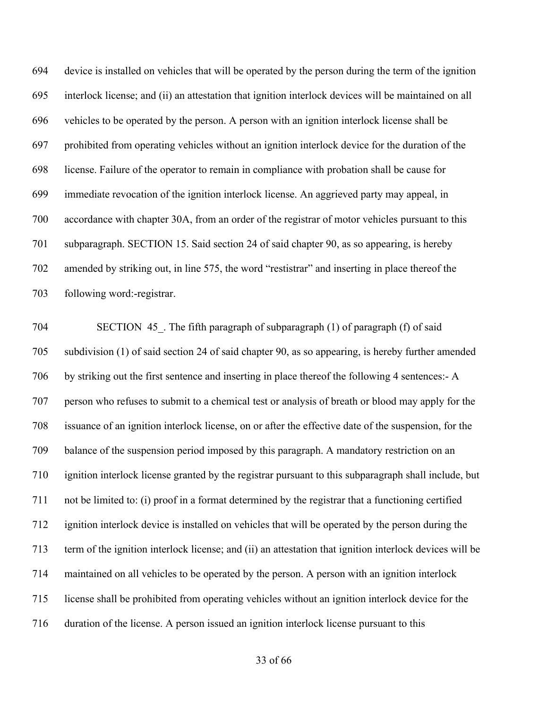device is installed on vehicles that will be operated by the person during the term of the ignition interlock license; and (ii) an attestation that ignition interlock devices will be maintained on all vehicles to be operated by the person. A person with an ignition interlock license shall be prohibited from operating vehicles without an ignition interlock device for the duration of the license. Failure of the operator to remain in compliance with probation shall be cause for immediate revocation of the ignition interlock license. An aggrieved party may appeal, in accordance with chapter 30A, from an order of the registrar of motor vehicles pursuant to this subparagraph. SECTION 15. Said section 24 of said chapter 90, as so appearing, is hereby amended by striking out, in line 575, the word "restistrar" and inserting in place thereof the following word:-registrar.

704 SECTION 45. The fifth paragraph of subparagraph (1) of paragraph (f) of said subdivision (1) of said section 24 of said chapter 90, as so appearing, is hereby further amended by striking out the first sentence and inserting in place thereof the following 4 sentences:- A person who refuses to submit to a chemical test or analysis of breath or blood may apply for the issuance of an ignition interlock license, on or after the effective date of the suspension, for the balance of the suspension period imposed by this paragraph. A mandatory restriction on an ignition interlock license granted by the registrar pursuant to this subparagraph shall include, but not be limited to: (i) proof in a format determined by the registrar that a functioning certified ignition interlock device is installed on vehicles that will be operated by the person during the term of the ignition interlock license; and (ii) an attestation that ignition interlock devices will be maintained on all vehicles to be operated by the person. A person with an ignition interlock license shall be prohibited from operating vehicles without an ignition interlock device for the duration of the license. A person issued an ignition interlock license pursuant to this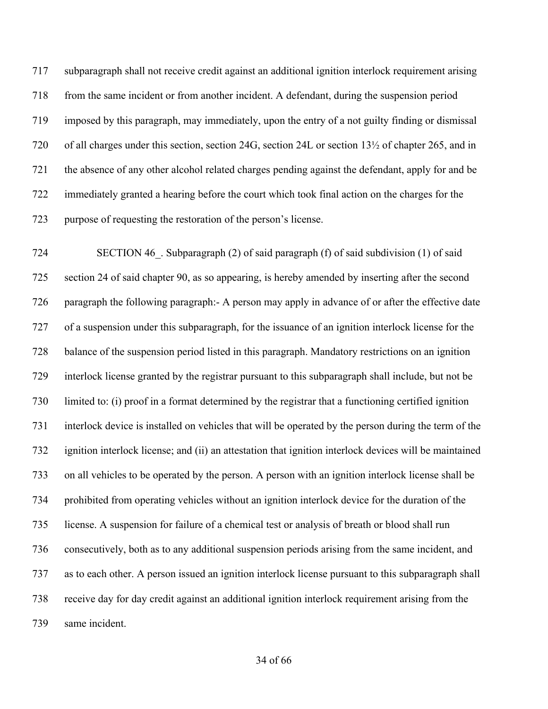subparagraph shall not receive credit against an additional ignition interlock requirement arising from the same incident or from another incident. A defendant, during the suspension period imposed by this paragraph, may immediately, upon the entry of a not guilty finding or dismissal of all charges under this section, section 24G, section 24L or section 13½ of chapter 265, and in the absence of any other alcohol related charges pending against the defendant, apply for and be immediately granted a hearing before the court which took final action on the charges for the purpose of requesting the restoration of the person's license.

 SECTION 46\_. Subparagraph (2) of said paragraph (f) of said subdivision (1) of said section 24 of said chapter 90, as so appearing, is hereby amended by inserting after the second paragraph the following paragraph:- A person may apply in advance of or after the effective date of a suspension under this subparagraph, for the issuance of an ignition interlock license for the balance of the suspension period listed in this paragraph. Mandatory restrictions on an ignition interlock license granted by the registrar pursuant to this subparagraph shall include, but not be limited to: (i) proof in a format determined by the registrar that a functioning certified ignition interlock device is installed on vehicles that will be operated by the person during the term of the ignition interlock license; and (ii) an attestation that ignition interlock devices will be maintained on all vehicles to be operated by the person. A person with an ignition interlock license shall be prohibited from operating vehicles without an ignition interlock device for the duration of the license. A suspension for failure of a chemical test or analysis of breath or blood shall run consecutively, both as to any additional suspension periods arising from the same incident, and as to each other. A person issued an ignition interlock license pursuant to this subparagraph shall receive day for day credit against an additional ignition interlock requirement arising from the same incident.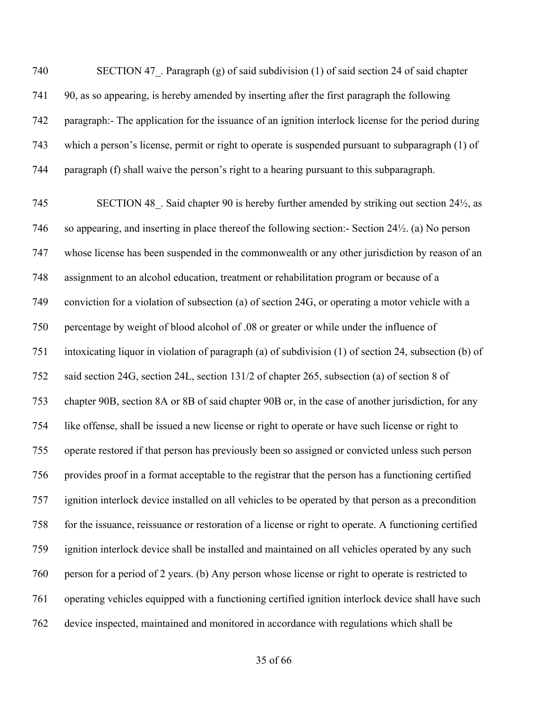740 SECTION 47. Paragraph (g) of said subdivision (1) of said section 24 of said chapter 90, as so appearing, is hereby amended by inserting after the first paragraph the following paragraph:- The application for the issuance of an ignition interlock license for the period during which a person's license, permit or right to operate is suspended pursuant to subparagraph (1) of paragraph (f) shall waive the person's right to a hearing pursuant to this subparagraph.

745 SECTION 48. Said chapter 90 is hereby further amended by striking out section 24½, as so appearing, and inserting in place thereof the following section:- Section 24½. (a) No person whose license has been suspended in the commonwealth or any other jurisdiction by reason of an assignment to an alcohol education, treatment or rehabilitation program or because of a conviction for a violation of subsection (a) of section 24G, or operating a motor vehicle with a percentage by weight of blood alcohol of .08 or greater or while under the influence of intoxicating liquor in violation of paragraph (a) of subdivision (1) of section 24, subsection (b) of said section 24G, section 24L, section 131/2 of chapter 265, subsection (a) of section 8 of chapter 90B, section 8A or 8B of said chapter 90B or, in the case of another jurisdiction, for any like offense, shall be issued a new license or right to operate or have such license or right to operate restored if that person has previously been so assigned or convicted unless such person provides proof in a format acceptable to the registrar that the person has a functioning certified ignition interlock device installed on all vehicles to be operated by that person as a precondition for the issuance, reissuance or restoration of a license or right to operate. A functioning certified ignition interlock device shall be installed and maintained on all vehicles operated by any such person for a period of 2 years. (b) Any person whose license or right to operate is restricted to operating vehicles equipped with a functioning certified ignition interlock device shall have such device inspected, maintained and monitored in accordance with regulations which shall be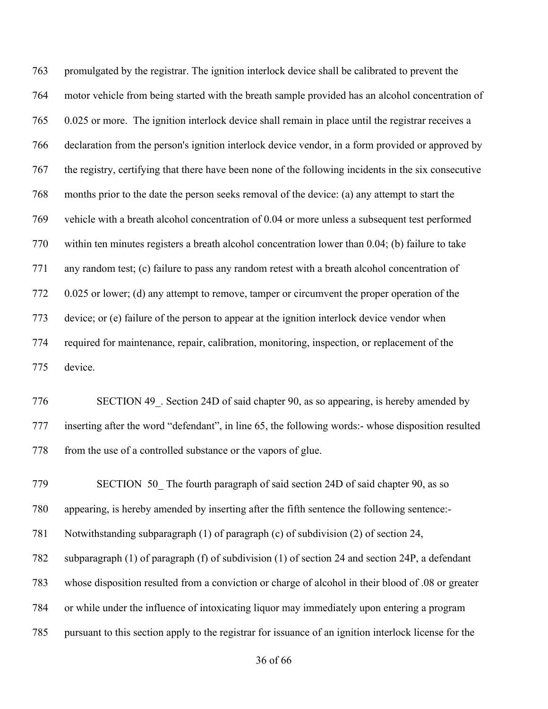promulgated by the registrar. The ignition interlock device shall be calibrated to prevent the motor vehicle from being started with the breath sample provided has an alcohol concentration of 0.025 or more. The ignition interlock device shall remain in place until the registrar receives a declaration from the person's ignition interlock device vendor, in a form provided or approved by the registry, certifying that there have been none of the following incidents in the six consecutive months prior to the date the person seeks removal of the device: (a) any attempt to start the vehicle with a breath alcohol concentration of 0.04 or more unless a subsequent test performed within ten minutes registers a breath alcohol concentration lower than 0.04; (b) failure to take any random test; (c) failure to pass any random retest with a breath alcohol concentration of 0.025 or lower; (d) any attempt to remove, tamper or circumvent the proper operation of the device; or (e) failure of the person to appear at the ignition interlock device vendor when required for maintenance, repair, calibration, monitoring, inspection, or replacement of the device.

 SECTION 49\_. Section 24D of said chapter 90, as so appearing, is hereby amended by inserting after the word "defendant", in line 65, the following words:- whose disposition resulted 778 from the use of a controlled substance or the vapors of glue.

 SECTION 50\_ The fourth paragraph of said section 24D of said chapter 90, as so appearing, is hereby amended by inserting after the fifth sentence the following sentence:- Notwithstanding subparagraph (1) of paragraph (c) of subdivision (2) of section 24, subparagraph (1) of paragraph (f) of subdivision (1) of section 24 and section 24P, a defendant whose disposition resulted from a conviction or charge of alcohol in their blood of .08 or greater or while under the influence of intoxicating liquor may immediately upon entering a program pursuant to this section apply to the registrar for issuance of an ignition interlock license for the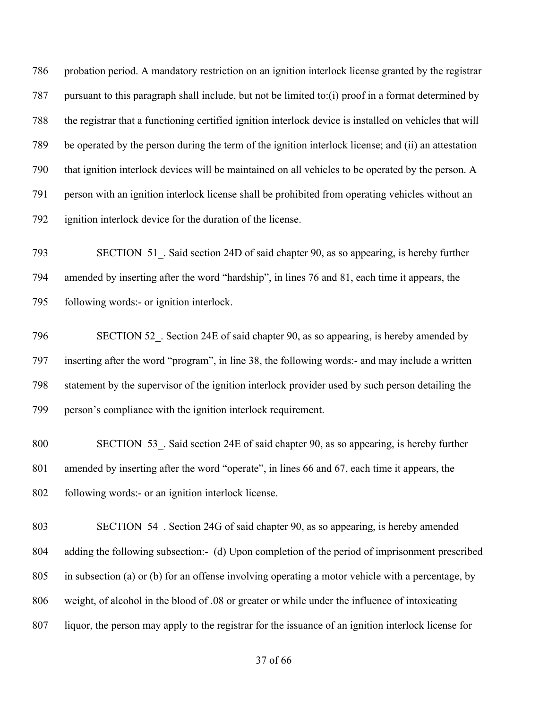probation period. A mandatory restriction on an ignition interlock license granted by the registrar pursuant to this paragraph shall include, but not be limited to:(i) proof in a format determined by the registrar that a functioning certified ignition interlock device is installed on vehicles that will be operated by the person during the term of the ignition interlock license; and (ii) an attestation that ignition interlock devices will be maintained on all vehicles to be operated by the person. A person with an ignition interlock license shall be prohibited from operating vehicles without an ignition interlock device for the duration of the license.

793 SECTION 51. Said section 24D of said chapter 90, as so appearing, is hereby further amended by inserting after the word "hardship", in lines 76 and 81, each time it appears, the following words:- or ignition interlock.

796 SECTION 52. Section 24E of said chapter 90, as so appearing, is hereby amended by inserting after the word "program", in line 38, the following words:- and may include a written statement by the supervisor of the ignition interlock provider used by such person detailing the person's compliance with the ignition interlock requirement.

800 SECTION 53. Said section 24E of said chapter 90, as so appearing, is hereby further amended by inserting after the word "operate", in lines 66 and 67, each time it appears, the following words:- or an ignition interlock license.

 SECTION 54\_. Section 24G of said chapter 90, as so appearing, is hereby amended adding the following subsection:- (d) Upon completion of the period of imprisonment prescribed in subsection (a) or (b) for an offense involving operating a motor vehicle with a percentage, by weight, of alcohol in the blood of .08 or greater or while under the influence of intoxicating liquor, the person may apply to the registrar for the issuance of an ignition interlock license for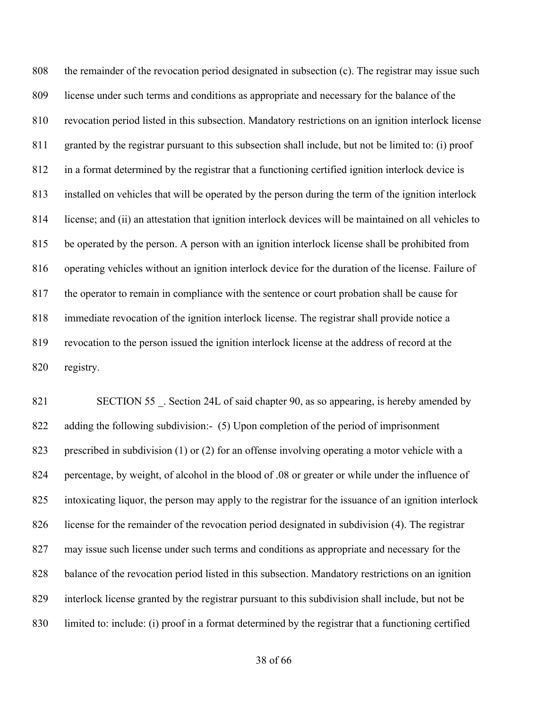the remainder of the revocation period designated in subsection (c). The registrar may issue such license under such terms and conditions as appropriate and necessary for the balance of the revocation period listed in this subsection. Mandatory restrictions on an ignition interlock license granted by the registrar pursuant to this subsection shall include, but not be limited to: (i) proof in a format determined by the registrar that a functioning certified ignition interlock device is installed on vehicles that will be operated by the person during the term of the ignition interlock license; and (ii) an attestation that ignition interlock devices will be maintained on all vehicles to be operated by the person. A person with an ignition interlock license shall be prohibited from operating vehicles without an ignition interlock device for the duration of the license. Failure of the operator to remain in compliance with the sentence or court probation shall be cause for immediate revocation of the ignition interlock license. The registrar shall provide notice a revocation to the person issued the ignition interlock license at the address of record at the registry.

821 SECTION 55 . Section 24L of said chapter 90, as so appearing, is hereby amended by adding the following subdivision:- (5) Upon completion of the period of imprisonment prescribed in subdivision (1) or (2) for an offense involving operating a motor vehicle with a percentage, by weight, of alcohol in the blood of .08 or greater or while under the influence of intoxicating liquor, the person may apply to the registrar for the issuance of an ignition interlock license for the remainder of the revocation period designated in subdivision (4). The registrar may issue such license under such terms and conditions as appropriate and necessary for the balance of the revocation period listed in this subsection. Mandatory restrictions on an ignition interlock license granted by the registrar pursuant to this subdivision shall include, but not be limited to: include: (i) proof in a format determined by the registrar that a functioning certified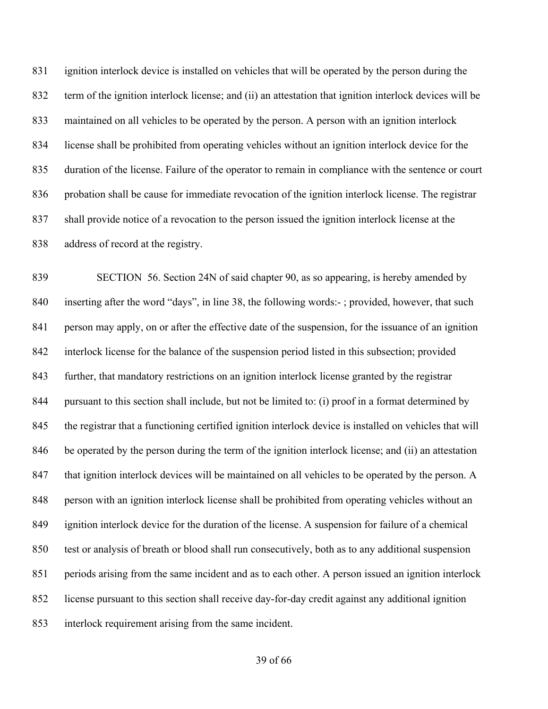ignition interlock device is installed on vehicles that will be operated by the person during the term of the ignition interlock license; and (ii) an attestation that ignition interlock devices will be maintained on all vehicles to be operated by the person. A person with an ignition interlock license shall be prohibited from operating vehicles without an ignition interlock device for the duration of the license. Failure of the operator to remain in compliance with the sentence or court probation shall be cause for immediate revocation of the ignition interlock license. The registrar shall provide notice of a revocation to the person issued the ignition interlock license at the address of record at the registry.

 SECTION 56. Section 24N of said chapter 90, as so appearing, is hereby amended by inserting after the word "days", in line 38, the following words:- ; provided, however, that such person may apply, on or after the effective date of the suspension, for the issuance of an ignition interlock license for the balance of the suspension period listed in this subsection; provided further, that mandatory restrictions on an ignition interlock license granted by the registrar pursuant to this section shall include, but not be limited to: (i) proof in a format determined by the registrar that a functioning certified ignition interlock device is installed on vehicles that will be operated by the person during the term of the ignition interlock license; and (ii) an attestation 847 that ignition interlock devices will be maintained on all vehicles to be operated by the person. A person with an ignition interlock license shall be prohibited from operating vehicles without an ignition interlock device for the duration of the license. A suspension for failure of a chemical test or analysis of breath or blood shall run consecutively, both as to any additional suspension periods arising from the same incident and as to each other. A person issued an ignition interlock license pursuant to this section shall receive day-for-day credit against any additional ignition interlock requirement arising from the same incident.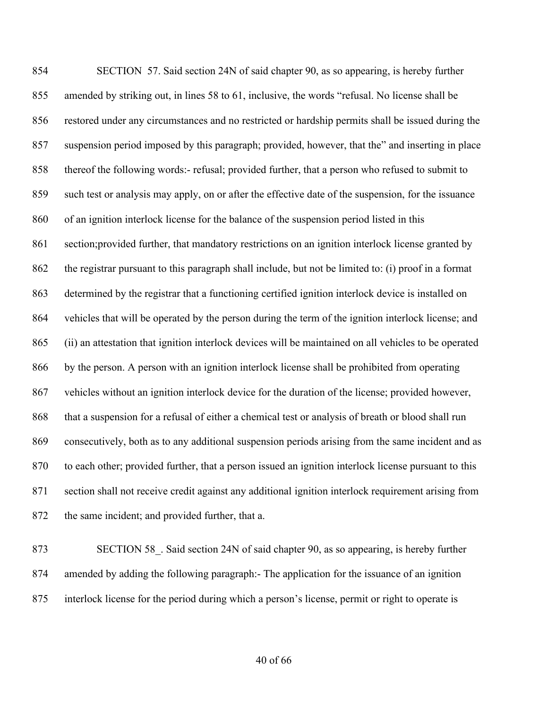SECTION 57. Said section 24N of said chapter 90, as so appearing, is hereby further amended by striking out, in lines 58 to 61, inclusive, the words "refusal. No license shall be restored under any circumstances and no restricted or hardship permits shall be issued during the suspension period imposed by this paragraph; provided, however, that the" and inserting in place thereof the following words:- refusal; provided further, that a person who refused to submit to such test or analysis may apply, on or after the effective date of the suspension, for the issuance of an ignition interlock license for the balance of the suspension period listed in this section;provided further, that mandatory restrictions on an ignition interlock license granted by the registrar pursuant to this paragraph shall include, but not be limited to: (i) proof in a format determined by the registrar that a functioning certified ignition interlock device is installed on vehicles that will be operated by the person during the term of the ignition interlock license; and (ii) an attestation that ignition interlock devices will be maintained on all vehicles to be operated by the person. A person with an ignition interlock license shall be prohibited from operating vehicles without an ignition interlock device for the duration of the license; provided however, that a suspension for a refusal of either a chemical test or analysis of breath or blood shall run consecutively, both as to any additional suspension periods arising from the same incident and as to each other; provided further, that a person issued an ignition interlock license pursuant to this section shall not receive credit against any additional ignition interlock requirement arising from the same incident; and provided further, that a.

873 SECTION 58. Said section 24N of said chapter 90, as so appearing, is hereby further amended by adding the following paragraph:- The application for the issuance of an ignition interlock license for the period during which a person's license, permit or right to operate is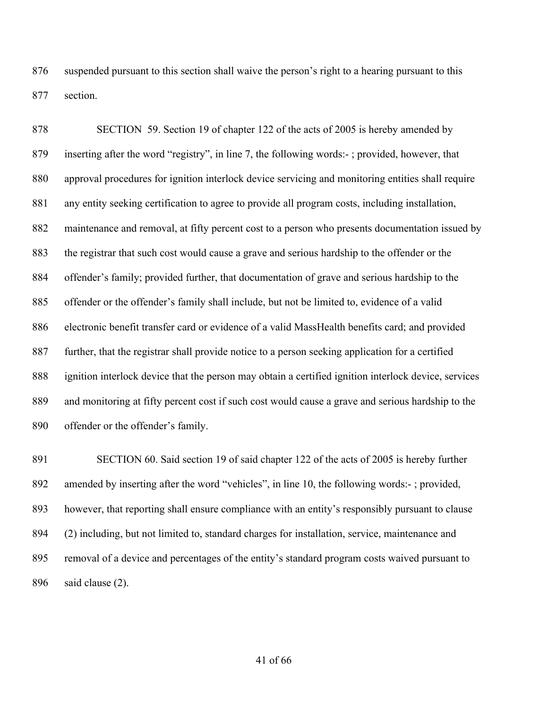suspended pursuant to this section shall waive the person's right to a hearing pursuant to this section.

 SECTION 59. Section 19 of chapter 122 of the acts of 2005 is hereby amended by inserting after the word "registry", in line 7, the following words:- ; provided, however, that approval procedures for ignition interlock device servicing and monitoring entities shall require any entity seeking certification to agree to provide all program costs, including installation, maintenance and removal, at fifty percent cost to a person who presents documentation issued by the registrar that such cost would cause a grave and serious hardship to the offender or the offender's family; provided further, that documentation of grave and serious hardship to the offender or the offender's family shall include, but not be limited to, evidence of a valid electronic benefit transfer card or evidence of a valid MassHealth benefits card; and provided further, that the registrar shall provide notice to a person seeking application for a certified ignition interlock device that the person may obtain a certified ignition interlock device, services and monitoring at fifty percent cost if such cost would cause a grave and serious hardship to the offender or the offender's family.

 SECTION 60. Said section 19 of said chapter 122 of the acts of 2005 is hereby further amended by inserting after the word "vehicles", in line 10, the following words:- ; provided, however, that reporting shall ensure compliance with an entity's responsibly pursuant to clause (2) including, but not limited to, standard charges for installation, service, maintenance and removal of a device and percentages of the entity's standard program costs waived pursuant to said clause (2).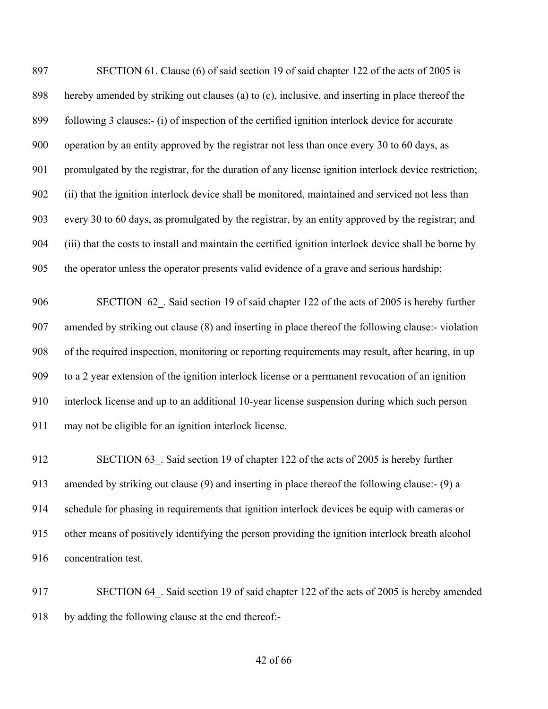SECTION 61. Clause (6) of said section 19 of said chapter 122 of the acts of 2005 is hereby amended by striking out clauses (a) to (c), inclusive, and inserting in place thereof the following 3 clauses:- (i) of inspection of the certified ignition interlock device for accurate operation by an entity approved by the registrar not less than once every 30 to 60 days, as promulgated by the registrar, for the duration of any license ignition interlock device restriction; (ii) that the ignition interlock device shall be monitored, maintained and serviced not less than every 30 to 60 days, as promulgated by the registrar, by an entity approved by the registrar; and (iii) that the costs to install and maintain the certified ignition interlock device shall be borne by the operator unless the operator presents valid evidence of a grave and serious hardship;

906 SECTION 62. Said section 19 of said chapter 122 of the acts of 2005 is hereby further amended by striking out clause (8) and inserting in place thereof the following clause:- violation of the required inspection, monitoring or reporting requirements may result, after hearing, in up to a 2 year extension of the ignition interlock license or a permanent revocation of an ignition interlock license and up to an additional 10-year license suspension during which such person may not be eligible for an ignition interlock license.

912 SECTION 63. Said section 19 of chapter 122 of the acts of 2005 is hereby further amended by striking out clause (9) and inserting in place thereof the following clause:- (9) a schedule for phasing in requirements that ignition interlock devices be equip with cameras or other means of positively identifying the person providing the ignition interlock breath alcohol concentration test.

917 SECTION 64. Said section 19 of said chapter 122 of the acts of 2005 is hereby amended by adding the following clause at the end thereof:-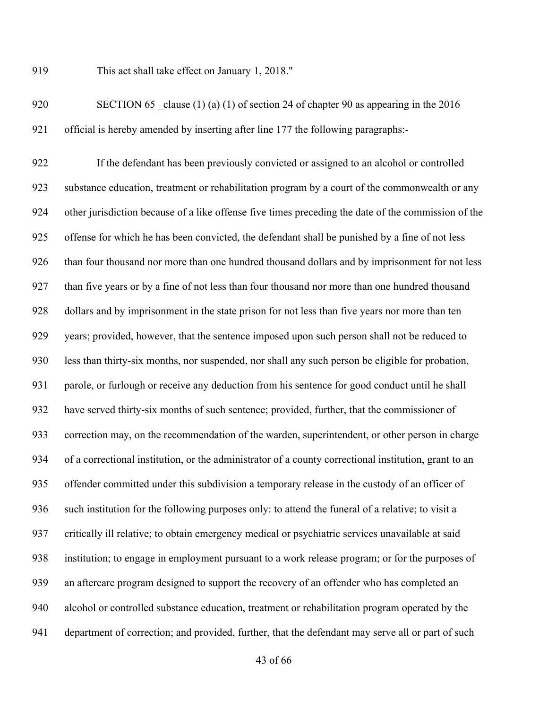This act shall take effect on January 1, 2018."

920 SECTION 65 clause (1) (a) (1) of section 24 of chapter 90 as appearing in the 2016 official is hereby amended by inserting after line 177 the following paragraphs:-

 If the defendant has been previously convicted or assigned to an alcohol or controlled substance education, treatment or rehabilitation program by a court of the commonwealth or any other jurisdiction because of a like offense five times preceding the date of the commission of the offense for which he has been convicted, the defendant shall be punished by a fine of not less than four thousand nor more than one hundred thousand dollars and by imprisonment for not less than five years or by a fine of not less than four thousand nor more than one hundred thousand dollars and by imprisonment in the state prison for not less than five years nor more than ten years; provided, however, that the sentence imposed upon such person shall not be reduced to less than thirty-six months, nor suspended, nor shall any such person be eligible for probation, parole, or furlough or receive any deduction from his sentence for good conduct until he shall have served thirty-six months of such sentence; provided, further, that the commissioner of correction may, on the recommendation of the warden, superintendent, or other person in charge of a correctional institution, or the administrator of a county correctional institution, grant to an offender committed under this subdivision a temporary release in the custody of an officer of such institution for the following purposes only: to attend the funeral of a relative; to visit a critically ill relative; to obtain emergency medical or psychiatric services unavailable at said institution; to engage in employment pursuant to a work release program; or for the purposes of an aftercare program designed to support the recovery of an offender who has completed an alcohol or controlled substance education, treatment or rehabilitation program operated by the department of correction; and provided, further, that the defendant may serve all or part of such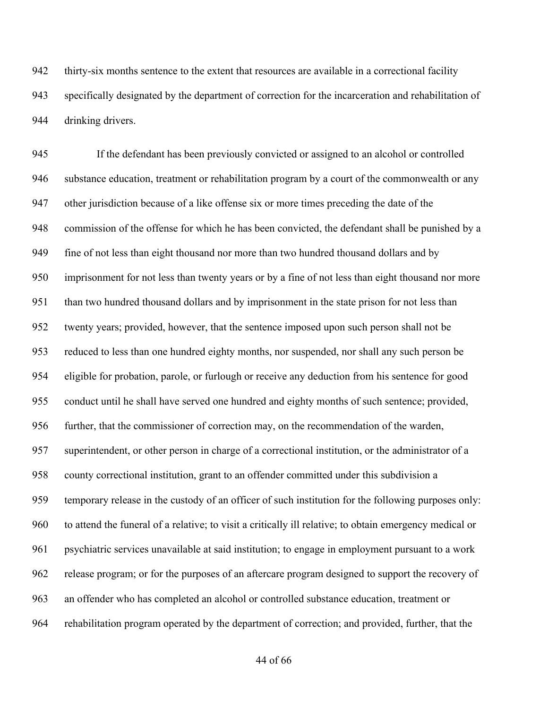thirty-six months sentence to the extent that resources are available in a correctional facility specifically designated by the department of correction for the incarceration and rehabilitation of drinking drivers.

 If the defendant has been previously convicted or assigned to an alcohol or controlled substance education, treatment or rehabilitation program by a court of the commonwealth or any other jurisdiction because of a like offense six or more times preceding the date of the commission of the offense for which he has been convicted, the defendant shall be punished by a fine of not less than eight thousand nor more than two hundred thousand dollars and by imprisonment for not less than twenty years or by a fine of not less than eight thousand nor more than two hundred thousand dollars and by imprisonment in the state prison for not less than twenty years; provided, however, that the sentence imposed upon such person shall not be reduced to less than one hundred eighty months, nor suspended, nor shall any such person be eligible for probation, parole, or furlough or receive any deduction from his sentence for good conduct until he shall have served one hundred and eighty months of such sentence; provided, further, that the commissioner of correction may, on the recommendation of the warden, superintendent, or other person in charge of a correctional institution, or the administrator of a county correctional institution, grant to an offender committed under this subdivision a temporary release in the custody of an officer of such institution for the following purposes only: to attend the funeral of a relative; to visit a critically ill relative; to obtain emergency medical or psychiatric services unavailable at said institution; to engage in employment pursuant to a work release program; or for the purposes of an aftercare program designed to support the recovery of an offender who has completed an alcohol or controlled substance education, treatment or rehabilitation program operated by the department of correction; and provided, further, that the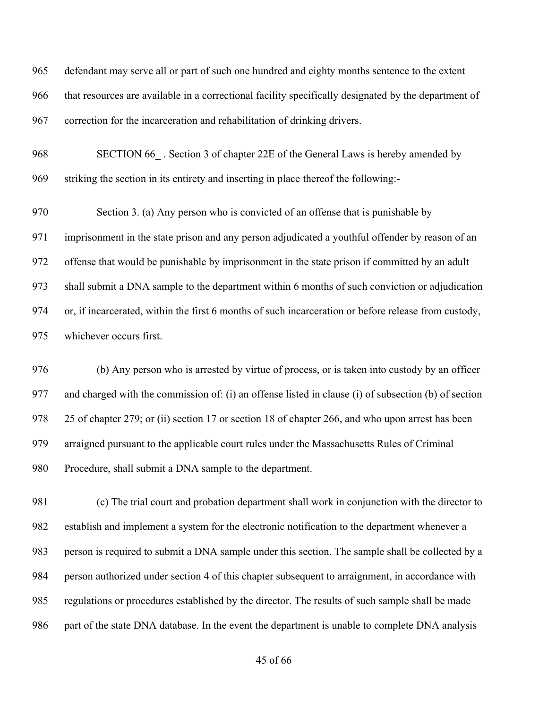defendant may serve all or part of such one hundred and eighty months sentence to the extent that resources are available in a correctional facility specifically designated by the department of correction for the incarceration and rehabilitation of drinking drivers.

968 SECTION 66. Section 3 of chapter 22E of the General Laws is hereby amended by striking the section in its entirety and inserting in place thereof the following:-

 Section 3. (a) Any person who is convicted of an offense that is punishable by imprisonment in the state prison and any person adjudicated a youthful offender by reason of an offense that would be punishable by imprisonment in the state prison if committed by an adult shall submit a DNA sample to the department within 6 months of such conviction or adjudication or, if incarcerated, within the first 6 months of such incarceration or before release from custody, whichever occurs first.

 (b) Any person who is arrested by virtue of process, or is taken into custody by an officer and charged with the commission of: (i) an offense listed in clause (i) of subsection (b) of section 978 25 of chapter 279; or (ii) section 17 or section 18 of chapter 266, and who upon arrest has been arraigned pursuant to the applicable court rules under the Massachusetts Rules of Criminal Procedure, shall submit a DNA sample to the department.

 (c) The trial court and probation department shall work in conjunction with the director to establish and implement a system for the electronic notification to the department whenever a person is required to submit a DNA sample under this section. The sample shall be collected by a person authorized under section 4 of this chapter subsequent to arraignment, in accordance with regulations or procedures established by the director. The results of such sample shall be made part of the state DNA database. In the event the department is unable to complete DNA analysis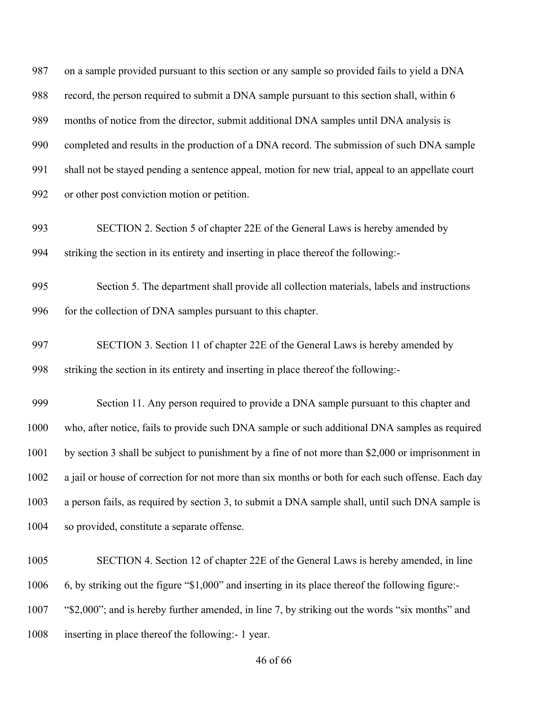on a sample provided pursuant to this section or any sample so provided fails to yield a DNA record, the person required to submit a DNA sample pursuant to this section shall, within 6 months of notice from the director, submit additional DNA samples until DNA analysis is completed and results in the production of a DNA record. The submission of such DNA sample shall not be stayed pending a sentence appeal, motion for new trial, appeal to an appellate court or other post conviction motion or petition.

 SECTION 2. Section 5 of chapter 22E of the General Laws is hereby amended by striking the section in its entirety and inserting in place thereof the following:-

 Section 5. The department shall provide all collection materials, labels and instructions 996 for the collection of DNA samples pursuant to this chapter.

 SECTION 3. Section 11 of chapter 22E of the General Laws is hereby amended by striking the section in its entirety and inserting in place thereof the following:-

 Section 11. Any person required to provide a DNA sample pursuant to this chapter and who, after notice, fails to provide such DNA sample or such additional DNA samples as required by section 3 shall be subject to punishment by a fine of not more than \$2,000 or imprisonment in a jail or house of correction for not more than six months or both for each such offense. Each day a person fails, as required by section 3, to submit a DNA sample shall, until such DNA sample is so provided, constitute a separate offense.

SECTION 4. Section 12 of chapter 22E of the General Laws is hereby amended, in line

6, by striking out the figure "\$1,000" and inserting in its place thereof the following figure:-

"\$2,000"; and is hereby further amended, in line 7, by striking out the words "six months" and

inserting in place thereof the following:- 1 year.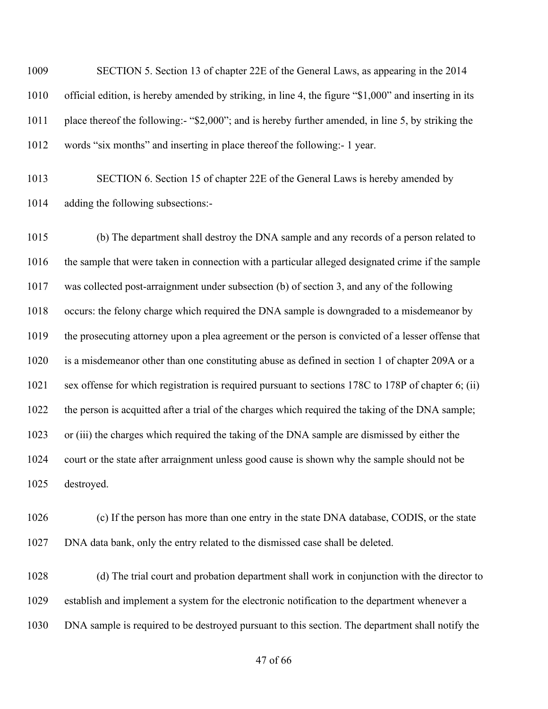SECTION 5. Section 13 of chapter 22E of the General Laws, as appearing in the 2014 official edition, is hereby amended by striking, in line 4, the figure "\$1,000" and inserting in its place thereof the following:- "\$2,000"; and is hereby further amended, in line 5, by striking the words "six months" and inserting in place thereof the following:- 1 year.

 SECTION 6. Section 15 of chapter 22E of the General Laws is hereby amended by adding the following subsections:-

 (b) The department shall destroy the DNA sample and any records of a person related to the sample that were taken in connection with a particular alleged designated crime if the sample was collected post-arraignment under subsection (b) of section 3, and any of the following occurs: the felony charge which required the DNA sample is downgraded to a misdemeanor by the prosecuting attorney upon a plea agreement or the person is convicted of a lesser offense that is a misdemeanor other than one constituting abuse as defined in section 1 of chapter 209A or a sex offense for which registration is required pursuant to sections 178C to 178P of chapter 6; (ii) the person is acquitted after a trial of the charges which required the taking of the DNA sample; or (iii) the charges which required the taking of the DNA sample are dismissed by either the court or the state after arraignment unless good cause is shown why the sample should not be destroyed.

 (c) If the person has more than one entry in the state DNA database, CODIS, or the state DNA data bank, only the entry related to the dismissed case shall be deleted.

 (d) The trial court and probation department shall work in conjunction with the director to establish and implement a system for the electronic notification to the department whenever a DNA sample is required to be destroyed pursuant to this section. The department shall notify the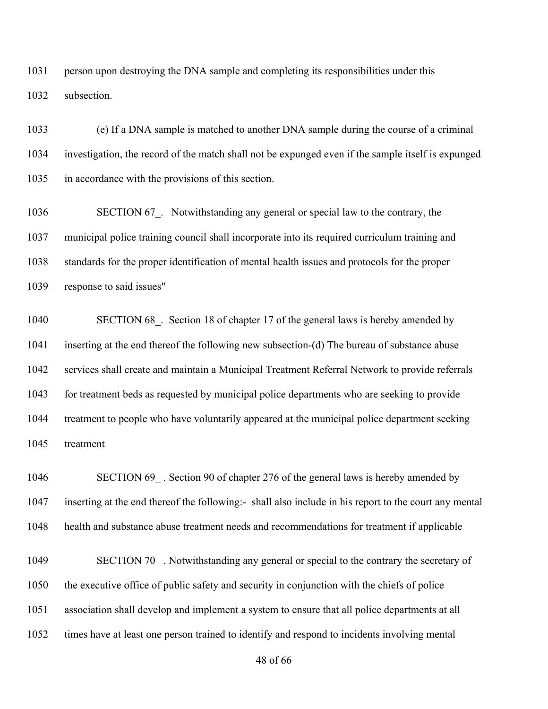person upon destroying the DNA sample and completing its responsibilities under this subsection.

 (e) If a DNA sample is matched to another DNA sample during the course of a criminal investigation, the record of the match shall not be expunged even if the sample itself is expunged in accordance with the provisions of this section.

1036 SECTION 67. Notwithstanding any general or special law to the contrary, the municipal police training council shall incorporate into its required curriculum training and standards for the proper identification of mental health issues and protocols for the proper response to said issues"

1040 SECTION 68. Section 18 of chapter 17 of the general laws is hereby amended by inserting at the end thereof the following new subsection-(d) The bureau of substance abuse services shall create and maintain a Municipal Treatment Referral Network to provide referrals for treatment beds as requested by municipal police departments who are seeking to provide treatment to people who have voluntarily appeared at the municipal police department seeking treatment

1046 SECTION 69 . Section 90 of chapter 276 of the general laws is hereby amended by inserting at the end thereof the following:- shall also include in his report to the court any mental health and substance abuse treatment needs and recommendations for treatment if applicable

1049 SECTION 70. Notwithstanding any general or special to the contrary the secretary of the executive office of public safety and security in conjunction with the chiefs of police association shall develop and implement a system to ensure that all police departments at all times have at least one person trained to identify and respond to incidents involving mental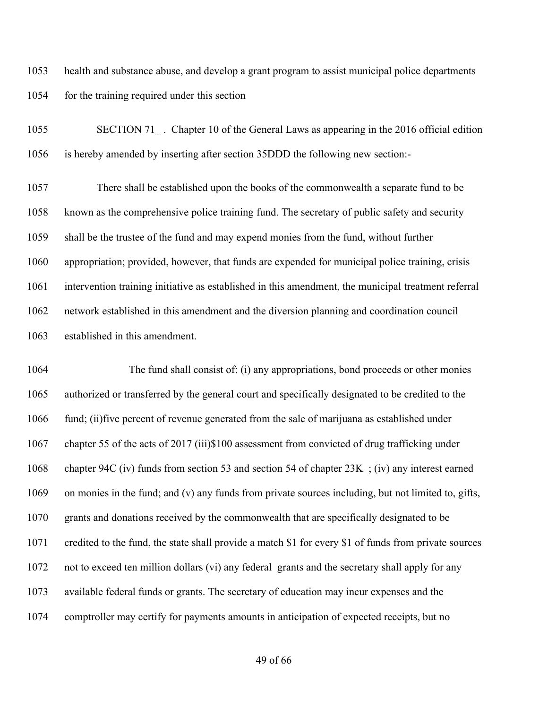health and substance abuse, and develop a grant program to assist municipal police departments 1054 for the training required under this section

1055 SECTION 71. Chapter 10 of the General Laws as appearing in the 2016 official edition is hereby amended by inserting after section 35DDD the following new section:-

 There shall be established upon the books of the commonwealth a separate fund to be known as the comprehensive police training fund. The secretary of public safety and security shall be the trustee of the fund and may expend monies from the fund, without further appropriation; provided, however, that funds are expended for municipal police training, crisis intervention training initiative as established in this amendment, the municipal treatment referral network established in this amendment and the diversion planning and coordination council established in this amendment.

1064 The fund shall consist of: (i) any appropriations, bond proceeds or other monies authorized or transferred by the general court and specifically designated to be credited to the fund; (ii)five percent of revenue generated from the sale of marijuana as established under chapter 55 of the acts of 2017 (iii)\$100 assessment from convicted of drug trafficking under chapter 94C (iv) funds from section 53 and section 54 of chapter 23K ; (iv) any interest earned on monies in the fund; and (v) any funds from private sources including, but not limited to, gifts, grants and donations received by the commonwealth that are specifically designated to be credited to the fund, the state shall provide a match \$1 for every \$1 of funds from private sources not to exceed ten million dollars (vi) any federal grants and the secretary shall apply for any available federal funds or grants. The secretary of education may incur expenses and the comptroller may certify for payments amounts in anticipation of expected receipts, but no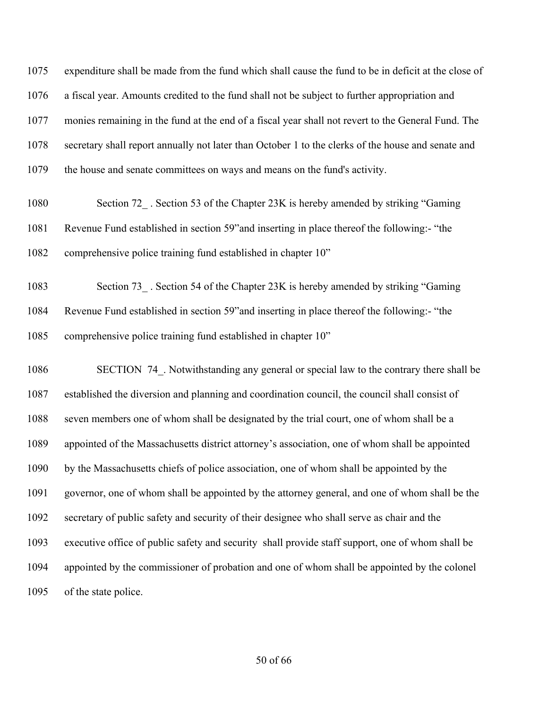expenditure shall be made from the fund which shall cause the fund to be in deficit at the close of a fiscal year. Amounts credited to the fund shall not be subject to further appropriation and monies remaining in the fund at the end of a fiscal year shall not revert to the General Fund. The secretary shall report annually not later than October 1 to the clerks of the house and senate and the house and senate committees on ways and means on the fund's activity.

- 1080 Section 72 . Section 53 of the Chapter 23K is hereby amended by striking "Gaming" Revenue Fund established in section 59"and inserting in place thereof the following:- "the comprehensive police training fund established in chapter 10"
- 1083 Section 73 . Section 54 of the Chapter 23K is hereby amended by striking "Gaming" Revenue Fund established in section 59"and inserting in place thereof the following:- "the comprehensive police training fund established in chapter 10"

1086 SECTION 74. Notwithstanding any general or special law to the contrary there shall be established the diversion and planning and coordination council, the council shall consist of seven members one of whom shall be designated by the trial court, one of whom shall be a appointed of the Massachusetts district attorney's association, one of whom shall be appointed by the Massachusetts chiefs of police association, one of whom shall be appointed by the governor, one of whom shall be appointed by the attorney general, and one of whom shall be the secretary of public safety and security of their designee who shall serve as chair and the executive office of public safety and security shall provide staff support, one of whom shall be appointed by the commissioner of probation and one of whom shall be appointed by the colonel of the state police.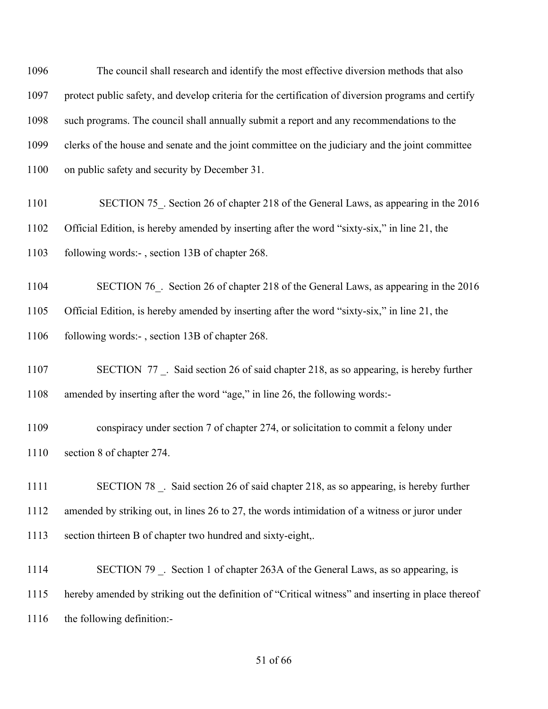The council shall research and identify the most effective diversion methods that also protect public safety, and develop criteria for the certification of diversion programs and certify such programs. The council shall annually submit a report and any recommendations to the clerks of the house and senate and the joint committee on the judiciary and the joint committee on public safety and security by December 31.

1101 SECTION 75. Section 26 of chapter 218 of the General Laws, as appearing in the 2016 Official Edition, is hereby amended by inserting after the word "sixty-six," in line 21, the following words:- , section 13B of chapter 268.

1104 SECTION 76. Section 26 of chapter 218 of the General Laws, as appearing in the 2016 Official Edition, is hereby amended by inserting after the word "sixty-six," in line 21, the 1106 following words:-, section 13B of chapter 268.

1107 SECTION 77 . Said section 26 of said chapter 218, as so appearing, is hereby further amended by inserting after the word "age," in line 26, the following words:-

 conspiracy under section 7 of chapter 274, or solicitation to commit a felony under section 8 of chapter 274.

1111 SECTION 78 . Said section 26 of said chapter 218, as so appearing, is hereby further amended by striking out, in lines 26 to 27, the words intimidation of a witness or juror under section thirteen B of chapter two hundred and sixty-eight,.

1114 SECTION 79 . Section 1 of chapter 263A of the General Laws, as so appearing, is hereby amended by striking out the definition of "Critical witness" and inserting in place thereof the following definition:-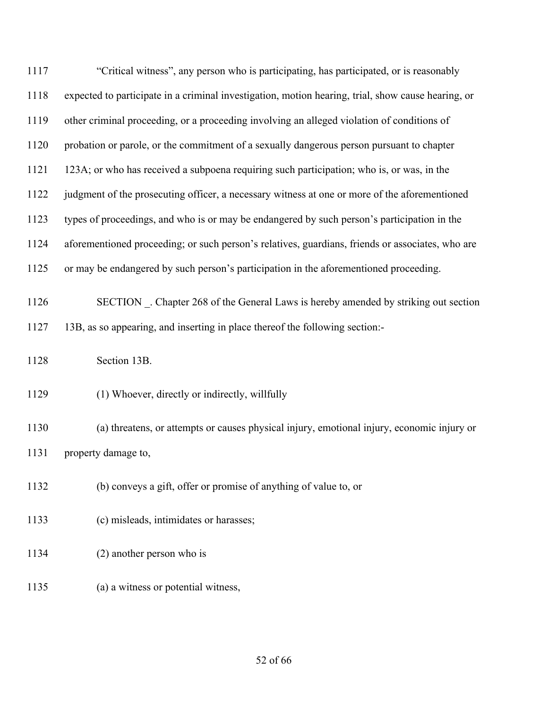| 1117 | "Critical witness", any person who is participating, has participated, or is reasonably            |
|------|----------------------------------------------------------------------------------------------------|
| 1118 | expected to participate in a criminal investigation, motion hearing, trial, show cause hearing, or |
| 1119 | other criminal proceeding, or a proceeding involving an alleged violation of conditions of         |
| 1120 | probation or parole, or the commitment of a sexually dangerous person pursuant to chapter          |
| 1121 | 123A; or who has received a subpoena requiring such participation; who is, or was, in the          |
| 1122 | judgment of the prosecuting officer, a necessary witness at one or more of the aforementioned      |
| 1123 | types of proceedings, and who is or may be endangered by such person's participation in the        |
| 1124 | aforementioned proceeding; or such person's relatives, guardians, friends or associates, who are   |
| 1125 | or may be endangered by such person's participation in the aforementioned proceeding.              |
| 1126 | SECTION . Chapter 268 of the General Laws is hereby amended by striking out section                |
| 1127 | 13B, as so appearing, and inserting in place thereof the following section:-                       |
| 1128 | Section 13B.                                                                                       |
| 1129 | (1) Whoever, directly or indirectly, willfully                                                     |
| 1130 | (a) threatens, or attempts or causes physical injury, emotional injury, economic injury or         |
| 1131 | property damage to,                                                                                |
| 1132 | (b) conveys a gift, offer or promise of anything of value to, or                                   |
| 1133 | (c) misleads, intimidates or harasses;                                                             |
| 1134 | $(2)$ another person who is                                                                        |
| 1135 | (a) a witness or potential witness,                                                                |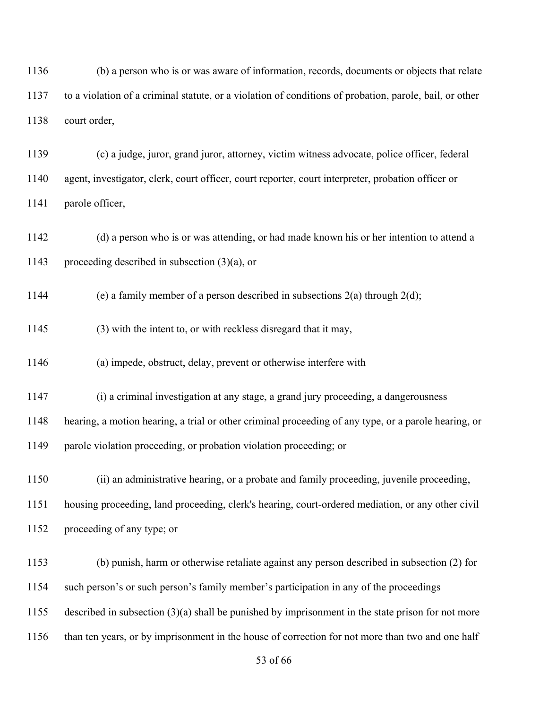(b) a person who is or was aware of information, records, documents or objects that relate to a violation of a criminal statute, or a violation of conditions of probation, parole, bail, or other court order,

 (c) a judge, juror, grand juror, attorney, victim witness advocate, police officer, federal agent, investigator, clerk, court officer, court reporter, court interpreter, probation officer or parole officer,

 (d) a person who is or was attending, or had made known his or her intention to attend a proceeding described in subsection (3)(a), or

1144 (e) a family member of a person described in subsections  $2(a)$  through  $2(d)$ ;

(3) with the intent to, or with reckless disregard that it may,

(a) impede, obstruct, delay, prevent or otherwise interfere with

(i) a criminal investigation at any stage, a grand jury proceeding, a dangerousness

hearing, a motion hearing, a trial or other criminal proceeding of any type, or a parole hearing, or

parole violation proceeding, or probation violation proceeding; or

(ii) an administrative hearing, or a probate and family proceeding, juvenile proceeding,

 housing proceeding, land proceeding, clerk's hearing, court-ordered mediation, or any other civil proceeding of any type; or

 (b) punish, harm or otherwise retaliate against any person described in subsection (2) for such person's or such person's family member's participation in any of the proceedings

described in subsection (3)(a) shall be punished by imprisonment in the state prison for not more

than ten years, or by imprisonment in the house of correction for not more than two and one half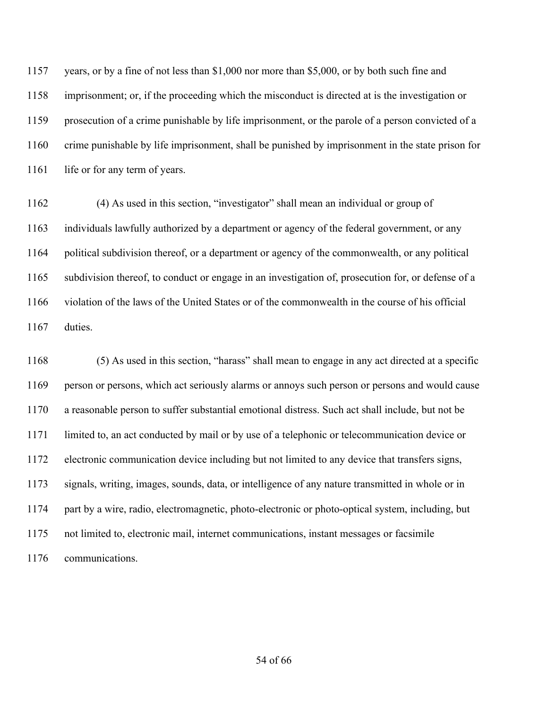years, or by a fine of not less than \$1,000 nor more than \$5,000, or by both such fine and imprisonment; or, if the proceeding which the misconduct is directed at is the investigation or prosecution of a crime punishable by life imprisonment, or the parole of a person convicted of a crime punishable by life imprisonment, shall be punished by imprisonment in the state prison for 1161 life or for any term of years.

 (4) As used in this section, "investigator" shall mean an individual or group of individuals lawfully authorized by a department or agency of the federal government, or any political subdivision thereof, or a department or agency of the commonwealth, or any political subdivision thereof, to conduct or engage in an investigation of, prosecution for, or defense of a violation of the laws of the United States or of the commonwealth in the course of his official duties.

 (5) As used in this section, "harass" shall mean to engage in any act directed at a specific person or persons, which act seriously alarms or annoys such person or persons and would cause a reasonable person to suffer substantial emotional distress. Such act shall include, but not be limited to, an act conducted by mail or by use of a telephonic or telecommunication device or electronic communication device including but not limited to any device that transfers signs, signals, writing, images, sounds, data, or intelligence of any nature transmitted in whole or in part by a wire, radio, electromagnetic, photo-electronic or photo-optical system, including, but not limited to, electronic mail, internet communications, instant messages or facsimile communications.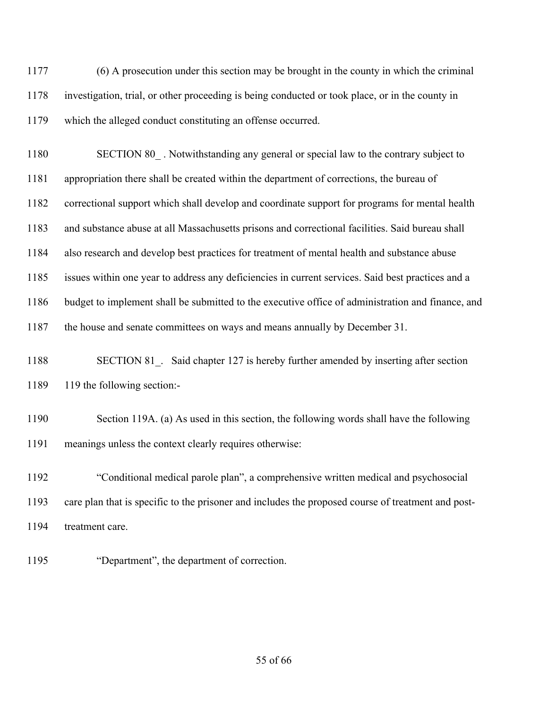(6) A prosecution under this section may be brought in the county in which the criminal investigation, trial, or other proceeding is being conducted or took place, or in the county in which the alleged conduct constituting an offense occurred.

1180 SECTION 80. Notwithstanding any general or special law to the contrary subject to appropriation there shall be created within the department of corrections, the bureau of correctional support which shall develop and coordinate support for programs for mental health and substance abuse at all Massachusetts prisons and correctional facilities. Said bureau shall also research and develop best practices for treatment of mental health and substance abuse issues within one year to address any deficiencies in current services. Said best practices and a budget to implement shall be submitted to the executive office of administration and finance, and 1187 the house and senate committees on ways and means annually by December 31.

1188 SECTION 81. Said chapter 127 is hereby further amended by inserting after section 119 the following section:-

 Section 119A. (a) As used in this section, the following words shall have the following meanings unless the context clearly requires otherwise:

 "Conditional medical parole plan", a comprehensive written medical and psychosocial care plan that is specific to the prisoner and includes the proposed course of treatment and post-treatment care.

"Department", the department of correction.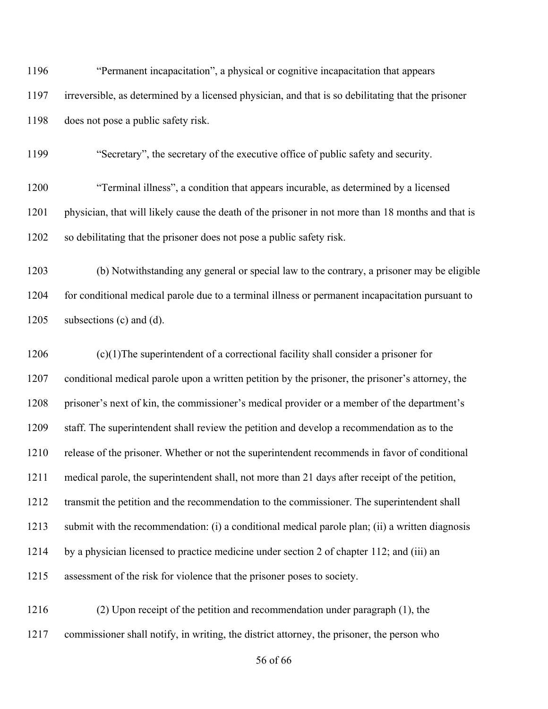| 1196 | "Permanent incapacitation", a physical or cognitive incapacitation that appears                    |
|------|----------------------------------------------------------------------------------------------------|
| 1197 | irreversible, as determined by a licensed physician, and that is so debilitating that the prisoner |
| 1198 | does not pose a public safety risk.                                                                |
| 1199 | "Secretary", the secretary of the executive office of public safety and security.                  |
| 1200 | "Terminal illness", a condition that appears incurable, as determined by a licensed                |
| 1201 | physician, that will likely cause the death of the prisoner in not more than 18 months and that is |
| 1202 | so debilitating that the prisoner does not pose a public safety risk.                              |
| 1203 | (b) Notwithstanding any general or special law to the contrary, a prisoner may be eligible         |
| 1204 | for conditional medical parole due to a terminal illness or permanent incapacitation pursuant to   |
| 1205 | subsections (c) and (d).                                                                           |
| 1206 | $(c)(1)$ The superintendent of a correctional facility shall consider a prisoner for               |
| 1207 | conditional medical parole upon a written petition by the prisoner, the prisoner's attorney, the   |
| 1208 | prisoner's next of kin, the commissioner's medical provider or a member of the department's        |
| 1209 | staff. The superintendent shall review the petition and develop a recommendation as to the         |
| 1210 | release of the prisoner. Whether or not the superintendent recommends in favor of conditional      |
| 1211 | medical parole, the superintendent shall, not more than 21 days after receipt of the petition,     |
| 1212 | transmit the petition and the recommendation to the commissioner. The superintendent shall         |
| 1213 | submit with the recommendation: (i) a conditional medical parole plan; (ii) a written diagnosis    |
| 1214 | by a physician licensed to practice medicine under section 2 of chapter 112; and (iii) an          |
| 1215 | assessment of the risk for violence that the prisoner poses to society.                            |
|      |                                                                                                    |

 (2) Upon receipt of the petition and recommendation under paragraph (1), the commissioner shall notify, in writing, the district attorney, the prisoner, the person who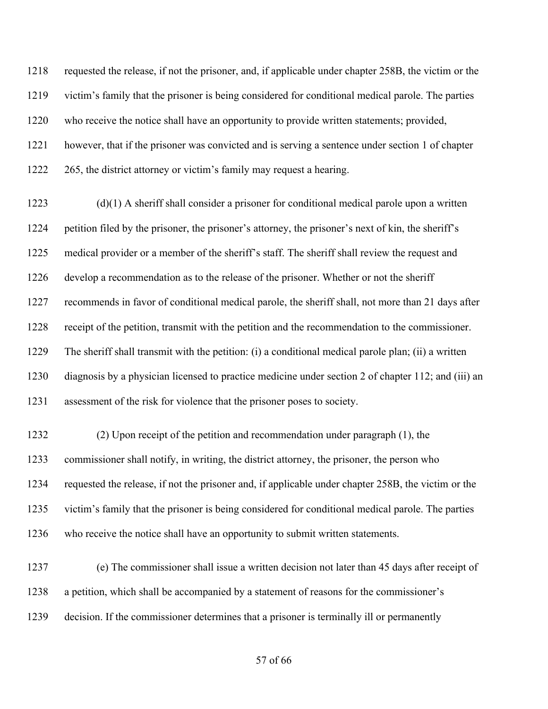requested the release, if not the prisoner, and, if applicable under chapter 258B, the victim or the victim's family that the prisoner is being considered for conditional medical parole. The parties who receive the notice shall have an opportunity to provide written statements; provided, however, that if the prisoner was convicted and is serving a sentence under section 1 of chapter 1222 265, the district attorney or victim's family may request a hearing.

 (d)(1) A sheriff shall consider a prisoner for conditional medical parole upon a written petition filed by the prisoner, the prisoner's attorney, the prisoner's next of kin, the sheriff's medical provider or a member of the sheriff's staff. The sheriff shall review the request and develop a recommendation as to the release of the prisoner. Whether or not the sheriff recommends in favor of conditional medical parole, the sheriff shall, not more than 21 days after receipt of the petition, transmit with the petition and the recommendation to the commissioner. The sheriff shall transmit with the petition: (i) a conditional medical parole plan; (ii) a written diagnosis by a physician licensed to practice medicine under section 2 of chapter 112; and (iii) an assessment of the risk for violence that the prisoner poses to society.

 (2) Upon receipt of the petition and recommendation under paragraph (1), the commissioner shall notify, in writing, the district attorney, the prisoner, the person who requested the release, if not the prisoner and, if applicable under chapter 258B, the victim or the victim's family that the prisoner is being considered for conditional medical parole. The parties who receive the notice shall have an opportunity to submit written statements.

 (e) The commissioner shall issue a written decision not later than 45 days after receipt of a petition, which shall be accompanied by a statement of reasons for the commissioner's decision. If the commissioner determines that a prisoner is terminally ill or permanently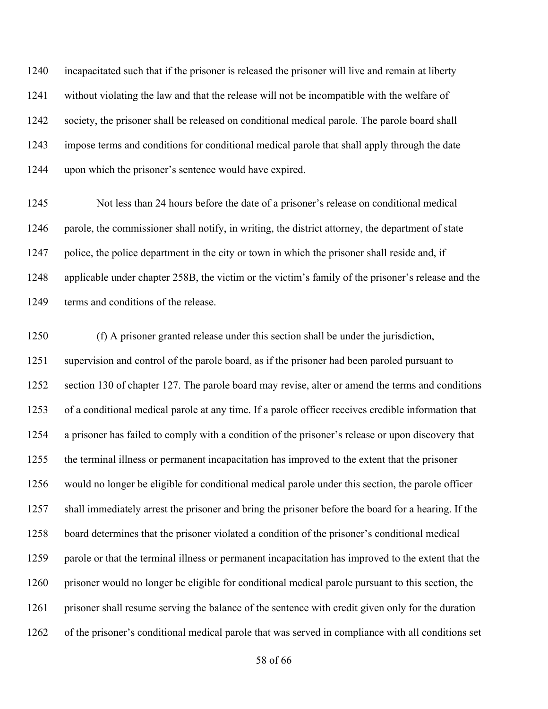incapacitated such that if the prisoner is released the prisoner will live and remain at liberty without violating the law and that the release will not be incompatible with the welfare of society, the prisoner shall be released on conditional medical parole. The parole board shall impose terms and conditions for conditional medical parole that shall apply through the date upon which the prisoner's sentence would have expired.

 Not less than 24 hours before the date of a prisoner's release on conditional medical parole, the commissioner shall notify, in writing, the district attorney, the department of state police, the police department in the city or town in which the prisoner shall reside and, if applicable under chapter 258B, the victim or the victim's family of the prisoner's release and the 1249 terms and conditions of the release.

 (f) A prisoner granted release under this section shall be under the jurisdiction, supervision and control of the parole board, as if the prisoner had been paroled pursuant to section 130 of chapter 127. The parole board may revise, alter or amend the terms and conditions of a conditional medical parole at any time. If a parole officer receives credible information that a prisoner has failed to comply with a condition of the prisoner's release or upon discovery that the terminal illness or permanent incapacitation has improved to the extent that the prisoner would no longer be eligible for conditional medical parole under this section, the parole officer shall immediately arrest the prisoner and bring the prisoner before the board for a hearing. If the board determines that the prisoner violated a condition of the prisoner's conditional medical parole or that the terminal illness or permanent incapacitation has improved to the extent that the prisoner would no longer be eligible for conditional medical parole pursuant to this section, the 1261 prisoner shall resume serving the balance of the sentence with credit given only for the duration of the prisoner's conditional medical parole that was served in compliance with all conditions set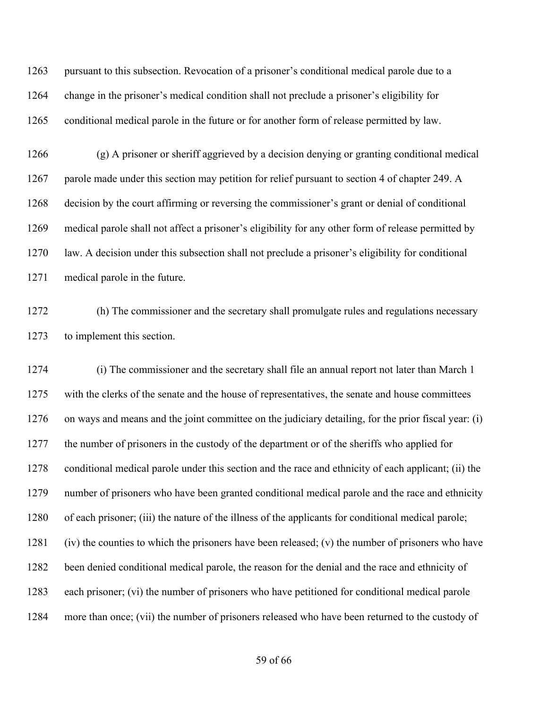pursuant to this subsection. Revocation of a prisoner's conditional medical parole due to a change in the prisoner's medical condition shall not preclude a prisoner's eligibility for conditional medical parole in the future or for another form of release permitted by law.

 (g) A prisoner or sheriff aggrieved by a decision denying or granting conditional medical 1267 parole made under this section may petition for relief pursuant to section 4 of chapter 249. A decision by the court affirming or reversing the commissioner's grant or denial of conditional medical parole shall not affect a prisoner's eligibility for any other form of release permitted by law. A decision under this subsection shall not preclude a prisoner's eligibility for conditional medical parole in the future.

 (h) The commissioner and the secretary shall promulgate rules and regulations necessary to implement this section.

 (i) The commissioner and the secretary shall file an annual report not later than March 1 with the clerks of the senate and the house of representatives, the senate and house committees on ways and means and the joint committee on the judiciary detailing, for the prior fiscal year: (i) the number of prisoners in the custody of the department or of the sheriffs who applied for conditional medical parole under this section and the race and ethnicity of each applicant; (ii) the number of prisoners who have been granted conditional medical parole and the race and ethnicity of each prisoner; (iii) the nature of the illness of the applicants for conditional medical parole; 1281 (iv) the counties to which the prisoners have been released; (v) the number of prisoners who have been denied conditional medical parole, the reason for the denial and the race and ethnicity of each prisoner; (vi) the number of prisoners who have petitioned for conditional medical parole more than once; (vii) the number of prisoners released who have been returned to the custody of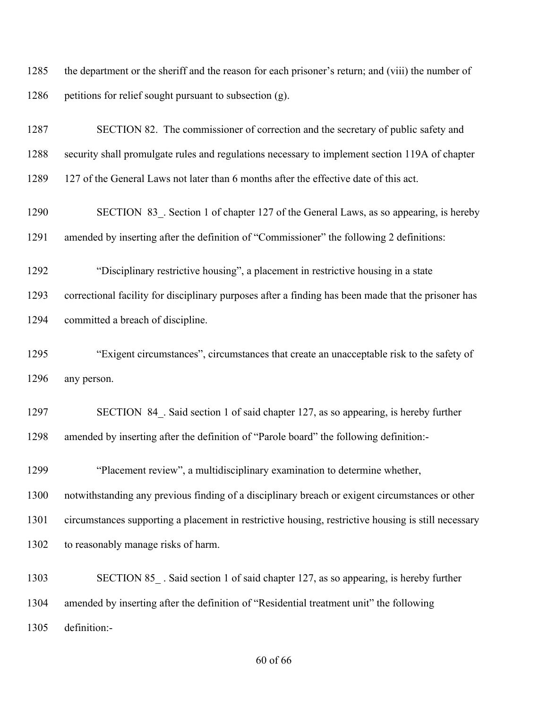the department or the sheriff and the reason for each prisoner's return; and (viii) the number of 1286 petitions for relief sought pursuant to subsection (g).

 SECTION 82. The commissioner of correction and the secretary of public safety and security shall promulgate rules and regulations necessary to implement section 119A of chapter 127 of the General Laws not later than 6 months after the effective date of this act. 1290 SECTION 83. Section 1 of chapter 127 of the General Laws, as so appearing, is hereby amended by inserting after the definition of "Commissioner" the following 2 definitions: "Disciplinary restrictive housing", a placement in restrictive housing in a state correctional facility for disciplinary purposes after a finding has been made that the prisoner has committed a breach of discipline. "Exigent circumstances", circumstances that create an unacceptable risk to the safety of any person. 1297 SECTION 84. Said section 1 of said chapter 127, as so appearing, is hereby further amended by inserting after the definition of "Parole board" the following definition:- "Placement review", a multidisciplinary examination to determine whether, notwithstanding any previous finding of a disciplinary breach or exigent circumstances or other circumstances supporting a placement in restrictive housing, restrictive housing is still necessary to reasonably manage risks of harm. 1303 SECTION 85. Said section 1 of said chapter 127, as so appearing, is hereby further

 amended by inserting after the definition of "Residential treatment unit" the following definition:-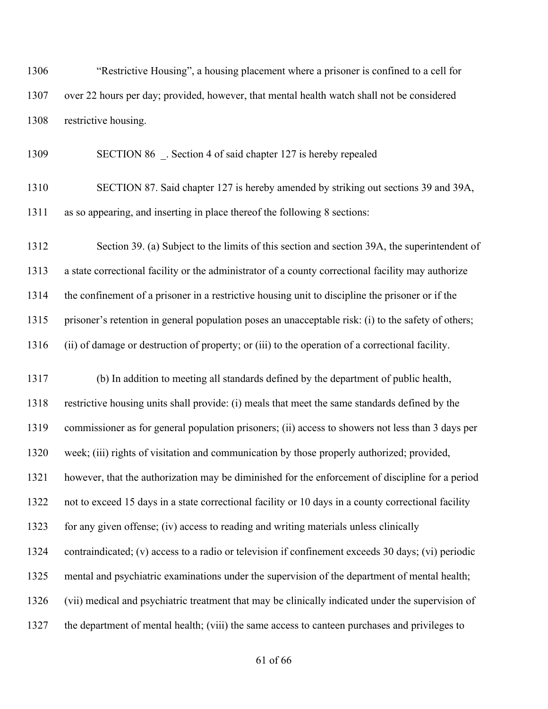"Restrictive Housing", a housing placement where a prisoner is confined to a cell for over 22 hours per day; provided, however, that mental health watch shall not be considered restrictive housing.

1309 SECTION 86 Section 4 of said chapter 127 is hereby repealed

 SECTION 87. Said chapter 127 is hereby amended by striking out sections 39 and 39A, as so appearing, and inserting in place thereof the following 8 sections:

 Section 39. (a) Subject to the limits of this section and section 39A, the superintendent of a state correctional facility or the administrator of a county correctional facility may authorize the confinement of a prisoner in a restrictive housing unit to discipline the prisoner or if the prisoner's retention in general population poses an unacceptable risk: (i) to the safety of others; (ii) of damage or destruction of property; or (iii) to the operation of a correctional facility.

 (b) In addition to meeting all standards defined by the department of public health, restrictive housing units shall provide: (i) meals that meet the same standards defined by the commissioner as for general population prisoners; (ii) access to showers not less than 3 days per week; (iii) rights of visitation and communication by those properly authorized; provided, however, that the authorization may be diminished for the enforcement of discipline for a period not to exceed 15 days in a state correctional facility or 10 days in a county correctional facility for any given offense; (iv) access to reading and writing materials unless clinically contraindicated; (v) access to a radio or television if confinement exceeds 30 days; (vi) periodic mental and psychiatric examinations under the supervision of the department of mental health; (vii) medical and psychiatric treatment that may be clinically indicated under the supervision of the department of mental health; (viii) the same access to canteen purchases and privileges to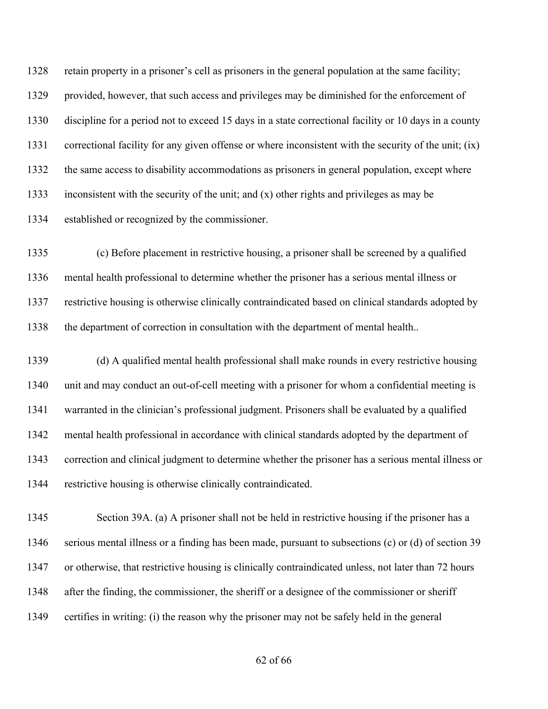retain property in a prisoner's cell as prisoners in the general population at the same facility; provided, however, that such access and privileges may be diminished for the enforcement of discipline for a period not to exceed 15 days in a state correctional facility or 10 days in a county correctional facility for any given offense or where inconsistent with the security of the unit; (ix) the same access to disability accommodations as prisoners in general population, except where inconsistent with the security of the unit; and (x) other rights and privileges as may be established or recognized by the commissioner.

 (c) Before placement in restrictive housing, a prisoner shall be screened by a qualified mental health professional to determine whether the prisoner has a serious mental illness or restrictive housing is otherwise clinically contraindicated based on clinical standards adopted by the department of correction in consultation with the department of mental health..

 (d) A qualified mental health professional shall make rounds in every restrictive housing unit and may conduct an out-of-cell meeting with a prisoner for whom a confidential meeting is warranted in the clinician's professional judgment. Prisoners shall be evaluated by a qualified mental health professional in accordance with clinical standards adopted by the department of correction and clinical judgment to determine whether the prisoner has a serious mental illness or restrictive housing is otherwise clinically contraindicated.

 Section 39A. (a) A prisoner shall not be held in restrictive housing if the prisoner has a serious mental illness or a finding has been made, pursuant to subsections (c) or (d) of section 39 or otherwise, that restrictive housing is clinically contraindicated unless, not later than 72 hours after the finding, the commissioner, the sheriff or a designee of the commissioner or sheriff certifies in writing: (i) the reason why the prisoner may not be safely held in the general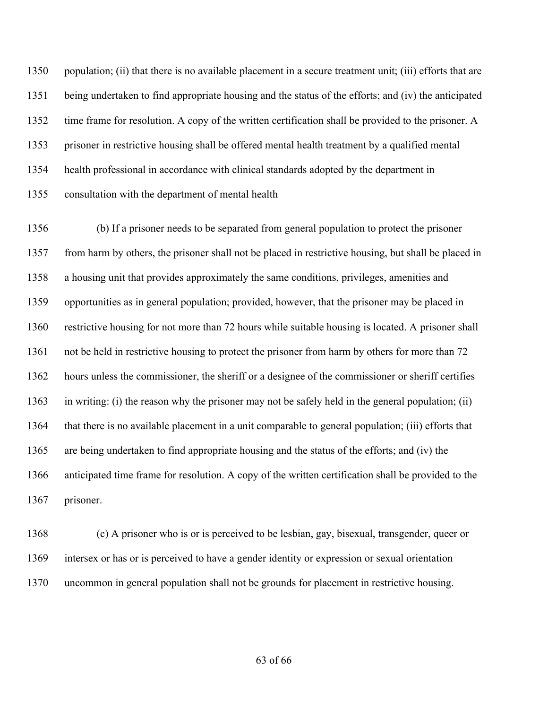1350 population; (ii) that there is no available placement in a secure treatment unit; (iii) efforts that are being undertaken to find appropriate housing and the status of the efforts; and (iv) the anticipated time frame for resolution. A copy of the written certification shall be provided to the prisoner. A prisoner in restrictive housing shall be offered mental health treatment by a qualified mental health professional in accordance with clinical standards adopted by the department in consultation with the department of mental health

 (b) If a prisoner needs to be separated from general population to protect the prisoner from harm by others, the prisoner shall not be placed in restrictive housing, but shall be placed in a housing unit that provides approximately the same conditions, privileges, amenities and opportunities as in general population; provided, however, that the prisoner may be placed in restrictive housing for not more than 72 hours while suitable housing is located. A prisoner shall not be held in restrictive housing to protect the prisoner from harm by others for more than 72 hours unless the commissioner, the sheriff or a designee of the commissioner or sheriff certifies in writing: (i) the reason why the prisoner may not be safely held in the general population; (ii) that there is no available placement in a unit comparable to general population; (iii) efforts that are being undertaken to find appropriate housing and the status of the efforts; and (iv) the anticipated time frame for resolution. A copy of the written certification shall be provided to the prisoner.

 (c) A prisoner who is or is perceived to be lesbian, gay, bisexual, transgender, queer or intersex or has or is perceived to have a gender identity or expression or sexual orientation uncommon in general population shall not be grounds for placement in restrictive housing.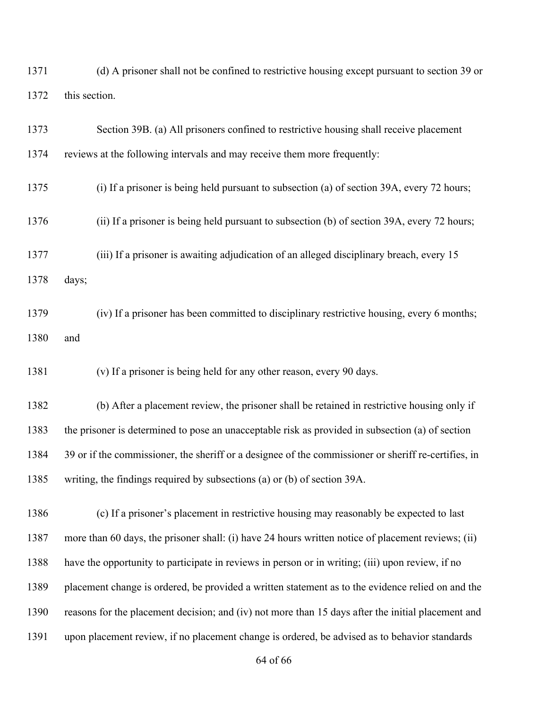(d) A prisoner shall not be confined to restrictive housing except pursuant to section 39 or this section.

| 1373 | Section 39B. (a) All prisoners confined to restrictive housing shall receive placement               |
|------|------------------------------------------------------------------------------------------------------|
| 1374 | reviews at the following intervals and may receive them more frequently:                             |
| 1375 | (i) If a prisoner is being held pursuant to subsection (a) of section 39A, every 72 hours;           |
| 1376 | (ii) If a prisoner is being held pursuant to subsection (b) of section 39A, every 72 hours;          |
| 1377 | (iii) If a prisoner is awaiting adjudication of an alleged disciplinary breach, every 15             |
| 1378 | days;                                                                                                |
| 1379 | (iv) If a prisoner has been committed to disciplinary restrictive housing, every 6 months;           |
| 1380 | and                                                                                                  |
| 1381 | (v) If a prisoner is being held for any other reason, every 90 days.                                 |
| 1382 | (b) After a placement review, the prisoner shall be retained in restrictive housing only if          |
| 1383 | the prisoner is determined to pose an unacceptable risk as provided in subsection (a) of section     |
| 1384 | 39 or if the commissioner, the sheriff or a designee of the commissioner or sheriff re-certifies, in |
| 1385 | writing, the findings required by subsections (a) or (b) of section 39A.                             |
| 1386 | (c) If a prisoner's placement in restrictive housing may reasonably be expected to last              |
| 1387 | more than 60 days, the prisoner shall: (i) have 24 hours written notice of placement reviews; (ii)   |
| 1388 | have the opportunity to participate in reviews in person or in writing; (iii) upon review, if no     |
| 1389 | placement change is ordered, be provided a written statement as to the evidence relied on and the    |
| 1390 | reasons for the placement decision; and (iv) not more than 15 days after the initial placement and   |
| 1391 | upon placement review, if no placement change is ordered, be advised as to behavior standards        |
|      |                                                                                                      |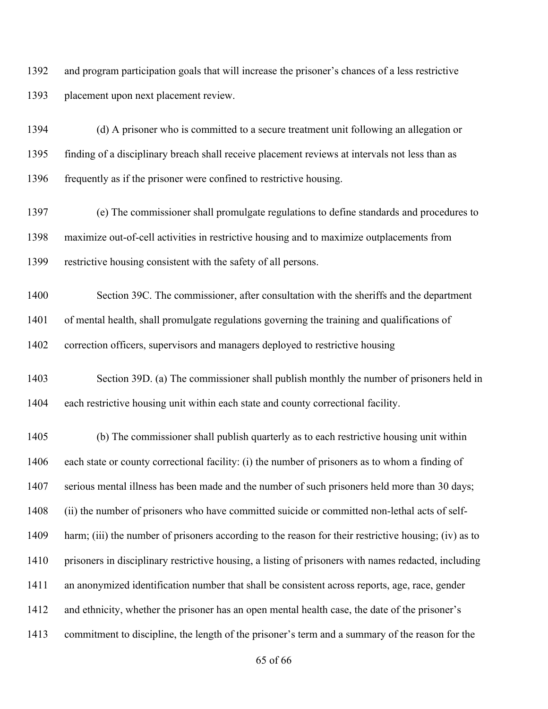and program participation goals that will increase the prisoner's chances of a less restrictive placement upon next placement review.

 (d) A prisoner who is committed to a secure treatment unit following an allegation or finding of a disciplinary breach shall receive placement reviews at intervals not less than as frequently as if the prisoner were confined to restrictive housing.

 (e) The commissioner shall promulgate regulations to define standards and procedures to maximize out-of-cell activities in restrictive housing and to maximize outplacements from restrictive housing consistent with the safety of all persons.

 Section 39C. The commissioner, after consultation with the sheriffs and the department of mental health, shall promulgate regulations governing the training and qualifications of correction officers, supervisors and managers deployed to restrictive housing

 Section 39D. (a) The commissioner shall publish monthly the number of prisoners held in each restrictive housing unit within each state and county correctional facility.

 (b) The commissioner shall publish quarterly as to each restrictive housing unit within each state or county correctional facility: (i) the number of prisoners as to whom a finding of serious mental illness has been made and the number of such prisoners held more than 30 days; (ii) the number of prisoners who have committed suicide or committed non-lethal acts of self-1409 harm; (iii) the number of prisoners according to the reason for their restrictive housing; (iv) as to prisoners in disciplinary restrictive housing, a listing of prisoners with names redacted, including an anonymized identification number that shall be consistent across reports, age, race, gender and ethnicity, whether the prisoner has an open mental health case, the date of the prisoner's commitment to discipline, the length of the prisoner's term and a summary of the reason for the